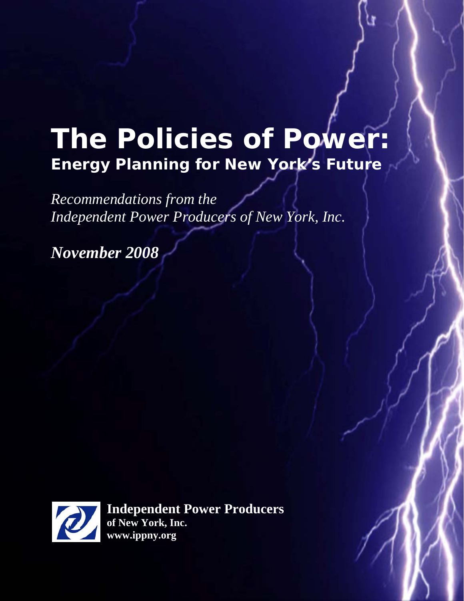# **The Policies of Power: Energy Planning for New York's Future**

*Recommendations from the Independent Power Producers of New York, Inc.* 

*November 2008*



**Independent Power Producers of New York, Inc. www.ippny.org**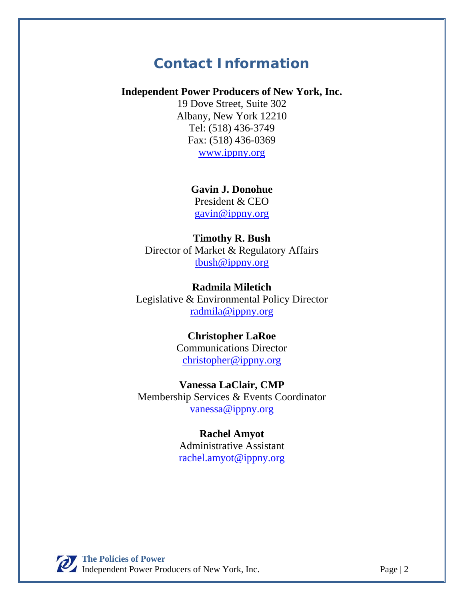## **Contact Information**

#### **Independent Power Producers of New York, Inc.**

19 Dove Street, Suite 302 Albany, New York 12210 Tel: (518) 436-3749 Fax: (518) 436-0369 www.ippny.org

**Gavin J. Donohue** 

President & CEO gavin@ippny.org

#### **Timothy R. Bush**

Director of Market & Regulatory Affairs tbush@ippny.org

**Radmila Miletich**  Legislative & Environmental Policy Director radmila@ippny.org

#### **Christopher LaRoe**

Communications Director christopher@ippny.org

#### **Vanessa LaClair, CMP**

Membership Services & Events Coordinator vanessa@ippny.org

> **Rachel Amyot**  Administrative Assistant rachel.amyot@ippny.org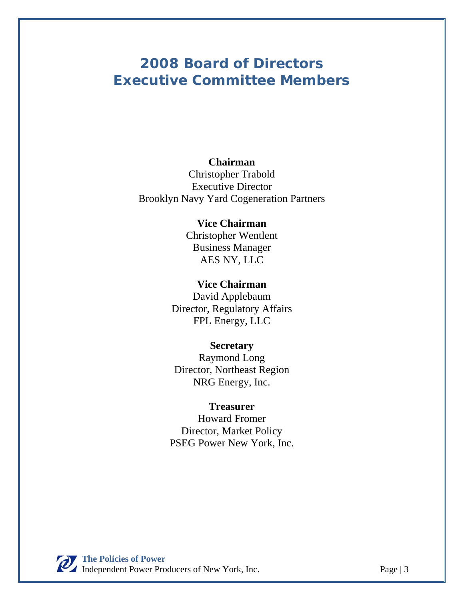# **2008 Board of Directors Executive Committee Members**

#### **Chairman**

Christopher Trabold Executive Director Brooklyn Navy Yard Cogeneration Partners

#### **Vice Chairman**

Christopher Wentlent Business Manager AES NY, LLC

#### **Vice Chairman**

David Applebaum Director, Regulatory Affairs FPL Energy, LLC

#### **Secretary**

Raymond Long Director, Northeast Region NRG Energy, Inc.

#### **Treasurer**

Howard Fromer Director, Market Policy PSEG Power New York, Inc.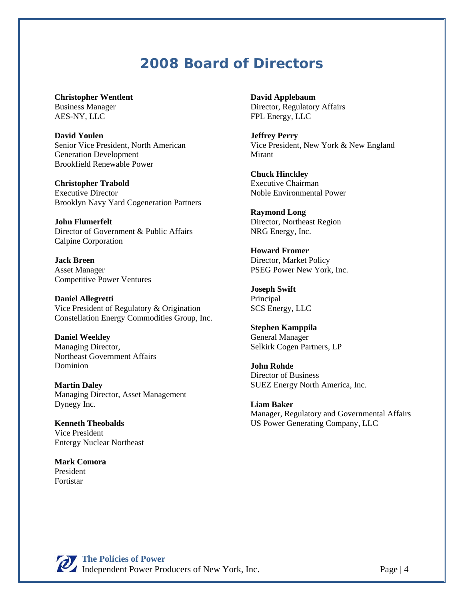### **2008 Board of Directors**

**Christopher Wentlent**  Business Manager AES-NY, LLC

**David Youlen**  Senior Vice President, North American Generation Development Brookfield Renewable Power

**Christopher Trabold**  Executive Director Brooklyn Navy Yard Cogeneration Partners

**John Flumerfelt**  Director of Government & Public Affairs Calpine Corporation

**Jack Breen**  Asset Manager Competitive Power Ventures

**Daniel Allegretti**  Vice President of Regulatory & Origination Constellation Energy Commodities Group, Inc.

**Daniel Weekley**  Managing Director, Northeast Government Affairs Dominion

**Martin Daley**  Managing Director, Asset Management Dynegy Inc.

**Kenneth Theobalds**  Vice President Entergy Nuclear Northeast

**Mark Comora**  President Fortistar

**David Applebaum**  Director, Regulatory Affairs FPL Energy, LLC

**Jeffrey Perry** Vice President, New York & New England Mirant

**Chuck Hinckley**  Executive Chairman Noble Environmental Power

**Raymond Long**  Director, Northeast Region NRG Energy, Inc.

**Howard Fromer**  Director, Market Policy PSEG Power New York, Inc.

**Joseph Swift**  Principal SCS Energy, LLC

**Stephen Kamppila**  General Manager Selkirk Cogen Partners, LP

**John Rohde**  Director of Business SUEZ Energy North America, Inc.

**Liam Baker**  Manager, Regulatory and Governmental Affairs US Power Generating Company, LLC

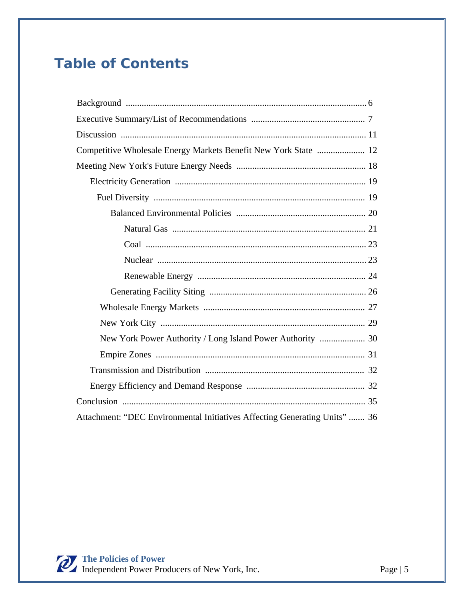# **Table of Contents**

| Competitive Wholesale Energy Markets Benefit New York State  12            |
|----------------------------------------------------------------------------|
|                                                                            |
|                                                                            |
|                                                                            |
|                                                                            |
|                                                                            |
|                                                                            |
|                                                                            |
|                                                                            |
|                                                                            |
|                                                                            |
|                                                                            |
| New York Power Authority / Long Island Power Authority  30                 |
|                                                                            |
|                                                                            |
|                                                                            |
|                                                                            |
| Attachment: "DEC Environmental Initiatives Affecting Generating Units"  36 |

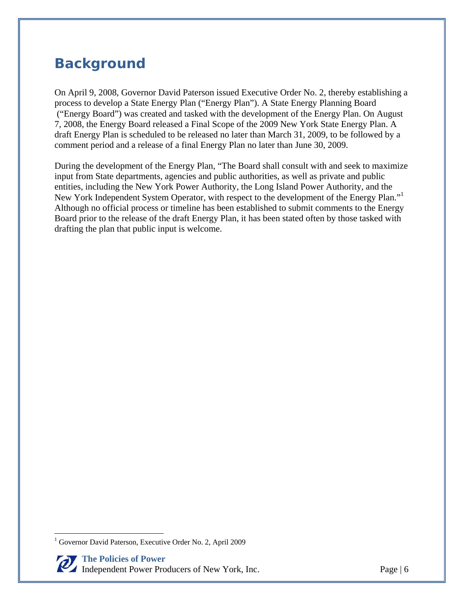# **Background**

On April 9, 2008, Governor David Paterson issued Executive Order No. 2, thereby establishing a process to develop a State Energy Plan ("Energy Plan"). A State Energy Planning Board ("Energy Board") was created and tasked with the development of the Energy Plan. On August 7, 2008, the Energy Board released a Final Scope of the 2009 New York State Energy Plan. A draft Energy Plan is scheduled to be released no later than March 31, 2009, to be followed by a comment period and a release of a final Energy Plan no later than June 30, 2009.

During the development of the Energy Plan, "The Board shall consult with and seek to maximize input from State departments, agencies and public authorities, as well as private and public entities, including the New York Power Authority, the Long Island Power Authority, and the New York Independent System Operator, with respect to the development of the Energy Plan." Although no official process or timeline has been established to submit comments to the Energy Board prior to the release of the draft Energy Plan, it has been stated often by those tasked with drafting the plan that public input is welcome.

<u>.</u>

<sup>&</sup>lt;sup>1</sup> Governor David Paterson, Executive Order No. 2, April 2009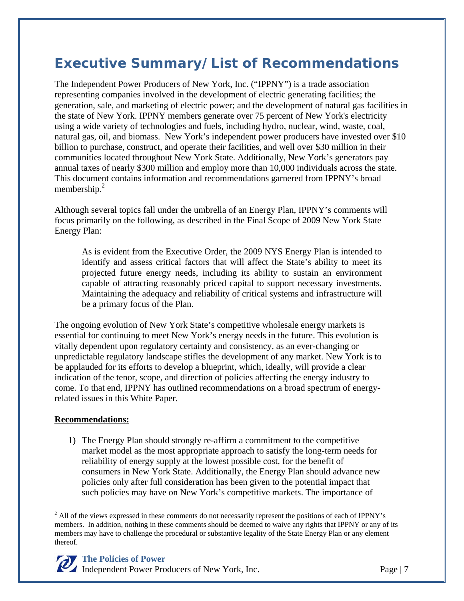# **Executive Summary/List of Recommendations**

The Independent Power Producers of New York, Inc. ("IPPNY") is a trade association representing companies involved in the development of electric generating facilities; the generation, sale, and marketing of electric power; and the development of natural gas facilities in the state of New York. IPPNY members generate over 75 percent of New York's electricity using a wide variety of technologies and fuels, including hydro, nuclear, wind, waste, coal, natural gas, oil, and biomass. New York's independent power producers have invested over \$10 billion to purchase, construct, and operate their facilities, and well over \$30 million in their communities located throughout New York State. Additionally, New York's generators pay annual taxes of nearly \$300 million and employ more than 10,000 individuals across the state. This document contains information and recommendations garnered from IPPNY's broad membership. $^{2}$ 

Although several topics fall under the umbrella of an Energy Plan, IPPNY's comments will focus primarily on the following, as described in the Final Scope of 2009 New York State Energy Plan:

As is evident from the Executive Order, the 2009 NYS Energy Plan is intended to identify and assess critical factors that will affect the State's ability to meet its projected future energy needs, including its ability to sustain an environment capable of attracting reasonably priced capital to support necessary investments. Maintaining the adequacy and reliability of critical systems and infrastructure will be a primary focus of the Plan.

The ongoing evolution of New York State's competitive wholesale energy markets is essential for continuing to meet New York's energy needs in the future. This evolution is vitally dependent upon regulatory certainty and consistency, as an ever-changing or unpredictable regulatory landscape stifles the development of any market. New York is to be applauded for its efforts to develop a blueprint, which, ideally, will provide a clear indication of the tenor, scope, and direction of policies affecting the energy industry to come. To that end, IPPNY has outlined recommendations on a broad spectrum of energyrelated issues in this White Paper.

#### **Recommendations:**

 $\overline{a}$ 

1) The Energy Plan should strongly re-affirm a commitment to the competitive market model as the most appropriate approach to satisfy the long-term needs for reliability of energy supply at the lowest possible cost, for the benefit of consumers in New York State. Additionally, the Energy Plan should advance new policies only after full consideration has been given to the potential impact that such policies may have on New York's competitive markets. The importance of

 $2$  All of the views expressed in these comments do not necessarily represent the positions of each of IPPNY's members. In addition, nothing in these comments should be deemed to waive any rights that IPPNY or any of its members may have to challenge the procedural or substantive legality of the State Energy Plan or any element thereof.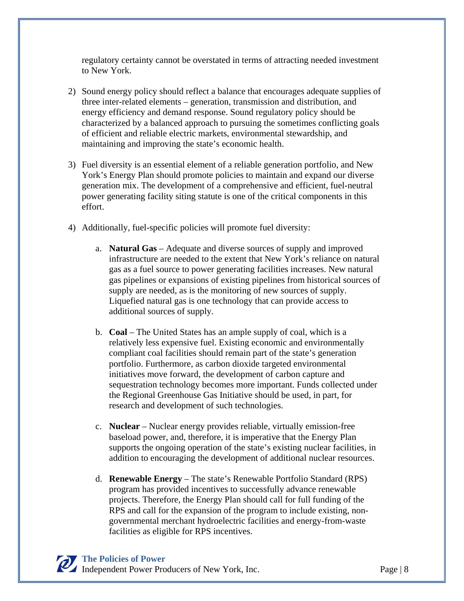regulatory certainty cannot be overstated in terms of attracting needed investment to New York.

- 2) Sound energy policy should reflect a balance that encourages adequate supplies of three inter-related elements – generation, transmission and distribution, and energy efficiency and demand response. Sound regulatory policy should be characterized by a balanced approach to pursuing the sometimes conflicting goals of efficient and reliable electric markets, environmental stewardship, and maintaining and improving the state's economic health.
- 3) Fuel diversity is an essential element of a reliable generation portfolio, and New York's Energy Plan should promote policies to maintain and expand our diverse generation mix. The development of a comprehensive and efficient, fuel-neutral power generating facility siting statute is one of the critical components in this effort.
- 4) Additionally, fuel-specific policies will promote fuel diversity:
	- a. **Natural Gas** Adequate and diverse sources of supply and improved infrastructure are needed to the extent that New York's reliance on natural gas as a fuel source to power generating facilities increases. New natural gas pipelines or expansions of existing pipelines from historical sources of supply are needed, as is the monitoring of new sources of supply. Liquefied natural gas is one technology that can provide access to additional sources of supply.
	- b. **Coal** The United States has an ample supply of coal, which is a relatively less expensive fuel. Existing economic and environmentally compliant coal facilities should remain part of the state's generation portfolio. Furthermore, as carbon dioxide targeted environmental initiatives move forward, the development of carbon capture and sequestration technology becomes more important. Funds collected under the Regional Greenhouse Gas Initiative should be used, in part, for research and development of such technologies.
	- c. **Nuclear** Nuclear energy provides reliable, virtually emission-free baseload power, and, therefore, it is imperative that the Energy Plan supports the ongoing operation of the state's existing nuclear facilities, in addition to encouraging the development of additional nuclear resources.
	- d. **Renewable Energy** The state's Renewable Portfolio Standard (RPS) program has provided incentives to successfully advance renewable projects. Therefore, the Energy Plan should call for full funding of the RPS and call for the expansion of the program to include existing, nongovernmental merchant hydroelectric facilities and energy-from-waste facilities as eligible for RPS incentives.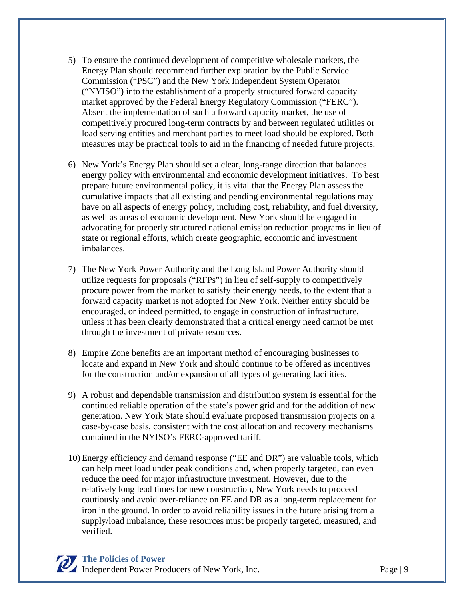- 5) To ensure the continued development of competitive wholesale markets, the Energy Plan should recommend further exploration by the Public Service Commission ("PSC") and the New York Independent System Operator ("NYISO") into the establishment of a properly structured forward capacity market approved by the Federal Energy Regulatory Commission ("FERC"). Absent the implementation of such a forward capacity market, the use of competitively procured long-term contracts by and between regulated utilities or load serving entities and merchant parties to meet load should be explored. Both measures may be practical tools to aid in the financing of needed future projects.
- 6) New York's Energy Plan should set a clear, long-range direction that balances energy policy with environmental and economic development initiatives. To best prepare future environmental policy, it is vital that the Energy Plan assess the cumulative impacts that all existing and pending environmental regulations may have on all aspects of energy policy, including cost, reliability, and fuel diversity, as well as areas of economic development. New York should be engaged in advocating for properly structured national emission reduction programs in lieu of state or regional efforts, which create geographic, economic and investment imbalances.
- 7) The New York Power Authority and the Long Island Power Authority should utilize requests for proposals ("RFPs") in lieu of self-supply to competitively procure power from the market to satisfy their energy needs, to the extent that a forward capacity market is not adopted for New York. Neither entity should be encouraged, or indeed permitted, to engage in construction of infrastructure, unless it has been clearly demonstrated that a critical energy need cannot be met through the investment of private resources.
- 8) Empire Zone benefits are an important method of encouraging businesses to locate and expand in New York and should continue to be offered as incentives for the construction and/or expansion of all types of generating facilities.
- 9) A robust and dependable transmission and distribution system is essential for the continued reliable operation of the state's power grid and for the addition of new generation. New York State should evaluate proposed transmission projects on a case-by-case basis, consistent with the cost allocation and recovery mechanisms contained in the NYISO's FERC-approved tariff.
- 10) Energy efficiency and demand response ("EE and DR") are valuable tools, which can help meet load under peak conditions and, when properly targeted, can even reduce the need for major infrastructure investment. However, due to the relatively long lead times for new construction, New York needs to proceed cautiously and avoid over-reliance on EE and DR as a long-term replacement for iron in the ground. In order to avoid reliability issues in the future arising from a supply/load imbalance, these resources must be properly targeted, measured, and verified.

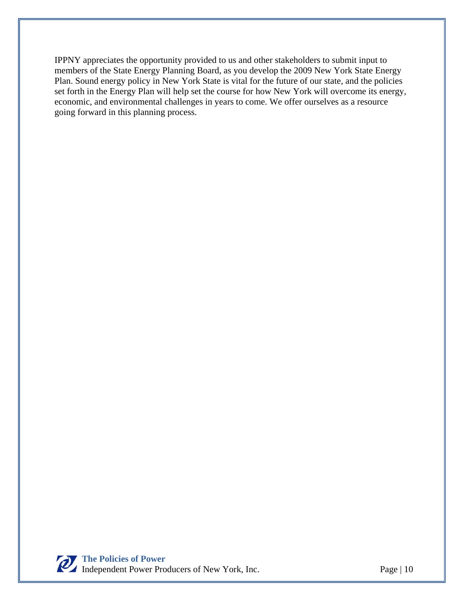IPPNY appreciates the opportunity provided to us and other stakeholders to submit input to members of the State Energy Planning Board, as you develop the 2009 New York State Energy Plan. Sound energy policy in New York State is vital for the future of our state, and the policies set forth in the Energy Plan will help set the course for how New York will overcome its energy, economic, and environmental challenges in years to come. We offer ourselves as a resource going forward in this planning process.

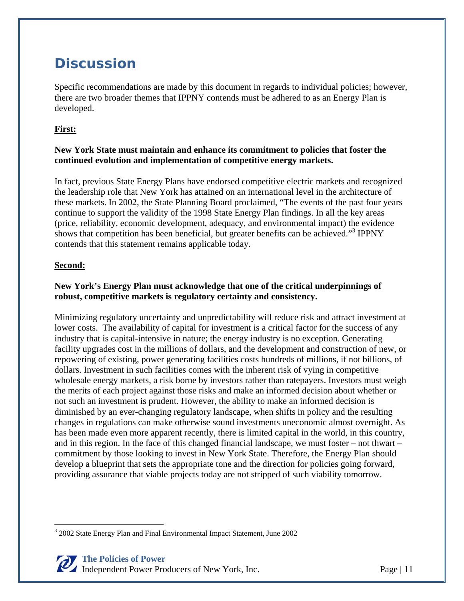# **Discussion**

Specific recommendations are made by this document in regards to individual policies; however, there are two broader themes that IPPNY contends must be adhered to as an Energy Plan is developed.

#### **First:**

#### **New York State must maintain and enhance its commitment to policies that foster the continued evolution and implementation of competitive energy markets.**

In fact, previous State Energy Plans have endorsed competitive electric markets and recognized the leadership role that New York has attained on an international level in the architecture of these markets. In 2002, the State Planning Board proclaimed, "The events of the past four years continue to support the validity of the 1998 State Energy Plan findings. In all the key areas (price, reliability, economic development, adequacy, and environmental impact) the evidence shows that competition has been beneficial, but greater benefits can be achieved."<sup>3</sup> IPPNY contends that this statement remains applicable today.

#### **Second:**

#### **New York's Energy Plan must acknowledge that one of the critical underpinnings of robust, competitive markets is regulatory certainty and consistency.**

Minimizing regulatory uncertainty and unpredictability will reduce risk and attract investment at lower costs. The availability of capital for investment is a critical factor for the success of any industry that is capital-intensive in nature; the energy industry is no exception. Generating facility upgrades cost in the millions of dollars, and the development and construction of new, or repowering of existing, power generating facilities costs hundreds of millions, if not billions, of dollars. Investment in such facilities comes with the inherent risk of vying in competitive wholesale energy markets, a risk borne by investors rather than ratepayers. Investors must weigh the merits of each project against those risks and make an informed decision about whether or not such an investment is prudent. However, the ability to make an informed decision is diminished by an ever-changing regulatory landscape, when shifts in policy and the resulting changes in regulations can make otherwise sound investments uneconomic almost overnight. As has been made even more apparent recently, there is limited capital in the world, in this country, and in this region. In the face of this changed financial landscape, we must foster – not thwart – commitment by those looking to invest in New York State. Therefore, the Energy Plan should develop a blueprint that sets the appropriate tone and the direction for policies going forward, providing assurance that viable projects today are not stripped of such viability tomorrow.

 $\overline{a}$ <sup>3</sup> 2002 State Energy Plan and Final Environmental Impact Statement, June 2002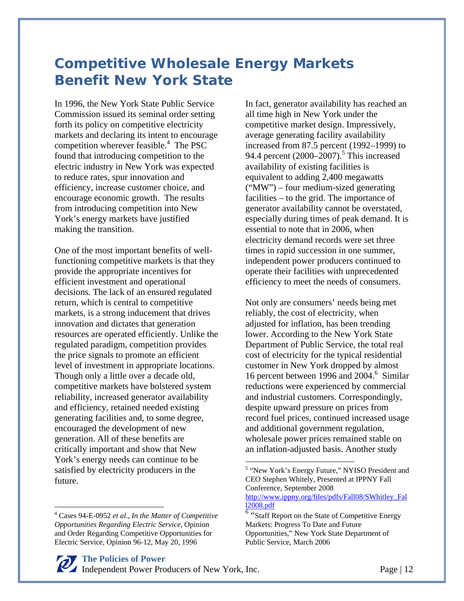# **Competitive Wholesale Energy Markets Benefit New York State**

In 1996, the New York State Public Service Commission issued its seminal order setting forth its policy on competitive electricity markets and declaring its intent to encourage competition wherever feasible.<sup>4</sup> The PSC found that introducing competition to the electric industry in New York was expected to reduce rates, spur innovation and efficiency, increase customer choice, and encourage economic growth. The results from introducing competition into New York's energy markets have justified making the transition.

One of the most important benefits of wellfunctioning competitive markets is that they provide the appropriate incentives for efficient investment and operational decisions. The lack of an ensured regulated return, which is central to competitive markets, is a strong inducement that drives innovation and dictates that generation resources are operated efficiently. Unlike the regulated paradigm, competition provides the price signals to promote an efficient level of investment in appropriate locations. Though only a little over a decade old, competitive markets have bolstered system reliability, increased generator availability and efficiency, retained needed existing generating facilities and, to some degree, encouraged the development of new generation. All of these benefits are critically important and show that New York's energy needs can continue to be satisfied by electricity producers in the future.

 $\overline{a}$ 

In fact, generator availability has reached an all time high in New York under the competitive market design. Impressively, average generating facility availability increased from 87.5 percent (1992–1999) to 94.4 percent  $(2000-2007)$ .<sup>5</sup> This increased availability of existing facilities is equivalent to adding 2,400 megawatts ("MW") – four medium-sized generating facilities – to the grid. The importance of generator availability cannot be overstated, especially during times of peak demand. It is essential to note that in 2006, when electricity demand records were set three times in rapid succession in one summer, independent power producers continued to operate their facilities with unprecedented efficiency to meet the needs of consumers.

Not only are consumers' needs being met reliably, the cost of electricity, when adjusted for inflation, has been trending lower. According to the New York State Department of Public Service, the total real cost of electricity for the typical residential customer in New York dropped by almost 16 percent between 1996 and 2004.<sup>6</sup> Similar reductions were experienced by commercial and industrial customers. Correspondingly, despite upward pressure on prices from record fuel prices, continued increased usage and additional government regulation, wholesale power prices remained stable on an inflation-adjusted basis. Another study

1

<sup>4</sup> Cases 94-E-0952 *et al*., *In the Matter of Competitive Opportunities Regarding Electric Service*, Opinion and Order Regarding Competitive Opportunities for Electric Service, Opinion 96-12, May 20, 1996

<sup>&</sup>lt;sup>5</sup> "New York's Energy Future," NYISO President and CEO Stephen Whitely, Presented at IPPNY Fall Conference, September 2008 http://www.ippny.org/files/pdfs/Fall08/SWhitley\_Fal l2008.pdf 6

<sup>&</sup>lt;sup>6</sup> "Staff Report on the State of Competitive Energy Markets: Progress To Date and Future Opportunities," New York State Department of Public Service, March 2006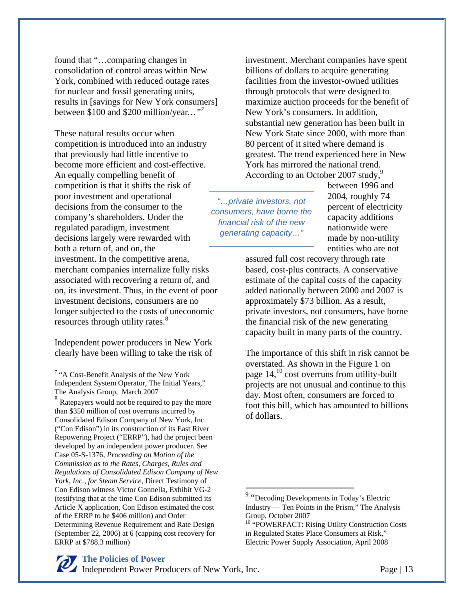found that "…comparing changes in consolidation of control areas within New York, combined with reduced outage rates for nuclear and fossil generating units, results in [savings for New York consumers] between \$100 and \$200 million/year*…"7*

These natural results occur when competition is introduced into an industry that previously had little incentive to become more efficient and cost-effective. An equally compelling benefit of competition is that it shifts the risk of poor investment and operational decisions from the consumer to the company's shareholders. Under the regulated paradigm, investment decisions largely were rewarded with both a return of, and on, the investment. In the competitive arena, merchant companies internalize fully risks associated with recovering a return of, and on, its investment. Thus, in the event of poor investment decisions, consumers are no longer subjected to the costs of uneconomic resources through utility rates.<sup>8</sup>

Independent power producers in New York clearly have been willing to take the risk of

 $\overline{a}$ 

investment. Merchant companies have spent billions of dollars to acquire generating facilities from the investor-owned utilities through protocols that were designed to maximize auction proceeds for the benefit of New York's consumers. In addition, substantial new generation has been built in New York State since 2000, with more than 80 percent of it sited where demand is greatest. The trend experienced here in New York has mirrored the national trend. According to an October 2007 study,<sup>9</sup>

*"…private investors, not consumers, have borne the financial risk of the new generating capacity…"* 

 $\overline{a}$ 

between 1996 and 2004, roughly 74 percent of electricity capacity additions nationwide were made by non-utility entities who are not

assured full cost recovery through rate based, cost-plus contracts. A conservative estimate of the capital costs of the capacity added nationally between 2000 and 2007 is approximately \$73 billion. As a result, private investors, not consumers, have borne the financial risk of the new generating capacity built in many parts of the country.

The importance of this shift in risk cannot be overstated. As shown in the Figure 1 on page 14,10 cost overruns from utility-built projects are not unusual and continue to this day. Most often, consumers are forced to foot this bill, which has amounted to billions of dollars.

<sup>&</sup>lt;sup>7</sup> "A Cost-Benefit Analysis of the New York Independent System Operator, The Initial Years," The Analysis Group, March 2007

<sup>&</sup>lt;sup>8</sup> Ratepayers would not be required to pay the more than \$350 million of cost overruns incurred by Consolidated Edison Company of New York, Inc. ("Con Edison") in its construction of its East River Repowering Project ("ERRP"), had the project been developed by an independent power producer. See Case 05-S-1376, *Proceeding on Motion of the Commission as to the Rates, Charges, Rules and Regulations of Consolidated Edison Company of New York, Inc., for Steam Service*, Direct Testimony of Con Edison witness Victor Gonnella, Exhibit VG-2 (testifying that at the time Con Edison submitted its Article X application, Con Edison estimated the cost of the ERRP to be \$406 million) and Order Determining Revenue Requirement and Rate Design (September 22, 2006) at 6 (capping cost recovery for ERRP at \$788.3 million)

<sup>&</sup>lt;sup>9</sup> "Decoding Developments in Today's Electric Industry — Ten Points in the Prism," The Analysis Group, October 2007

<sup>&</sup>lt;sup>10</sup> "POWERFACT: Rising Utility Construction Costs in Regulated States Place Consumers at Risk," Electric Power Supply Association, April 2008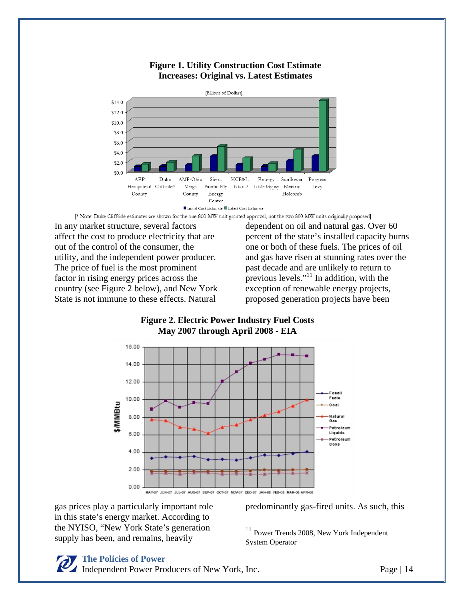

#### **Figure 1. Utility Construction Cost Estimate Increases: Original vs. Latest Estimates**

[\* Note: Duke Cliffside estimates are shown for the one 800-MW unit granted approval, not the two 800-MW units originally proposed]

In any market structure, several factors affect the cost to produce electricity that are out of the control of the consumer, the utility, and the independent power producer. The price of fuel is the most prominent factor in rising energy prices across the country (see Figure 2 below), and New York State is not immune to these effects. Natural

dependent on oil and natural gas. Over 60 percent of the state's installed capacity burns one or both of these fuels. The prices of oil and gas have risen at stunning rates over the past decade and are unlikely to return to previous levels."<sup>11</sup> In addition, with the exception of renewable energy projects, proposed generation projects have been

#### **Figure 2. Electric Power Industry Fuel Costs May 2007 through April 2008** - **EIA**



 $\overline{a}$ 

gas prices play a particularly important role in this state's energy market. According to the NYISO, "New York State's generation supply has been, and remains, heavily

predominantly gas-fired units. As such, this

<sup>11</sup> Power Trends 2008, New York Independent System Operator

#### **The Policies of Power**

Independent Power Producers of New York, Inc. Page | 14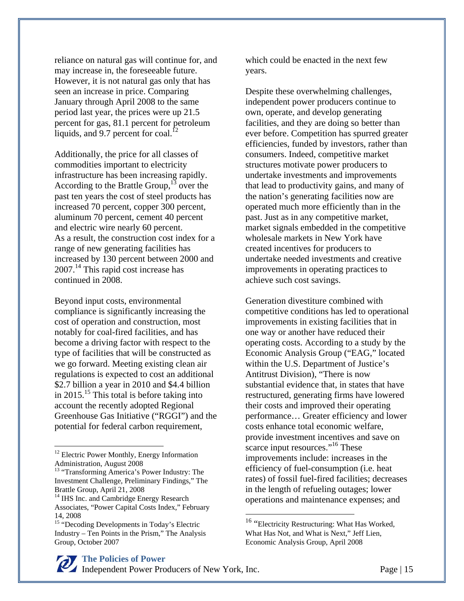reliance on natural gas will continue for, and may increase in, the foreseeable future. However, it is not natural gas only that has seen an increase in price. Comparing January through April 2008 to the same period last year, the prices were up 21.5 percent for gas, 81.1 percent for petroleum liquids, and 9.7 percent for coal. $^{12}$ 

Additionally, the price for all classes of commodities important to electricity infrastructure has been increasing rapidly. According to the Brattle Group,  $^{13}$  over the past ten years the cost of steel products has increased 70 percent, copper 300 percent, aluminum 70 percent, cement 40 percent and electric wire nearly 60 percent. As a result, the construction cost index for a range of new generating facilities has increased by 130 percent between 2000 and 2007.14 This rapid cost increase has continued in 2008.

Beyond input costs, environmental compliance is significantly increasing the cost of operation and construction, most notably for coal-fired facilities, and has become a driving factor with respect to the type of facilities that will be constructed as we go forward. Meeting existing clean air regulations is expected to cost an additional \$2.7 billion a year in 2010 and \$4.4 billion in 2015.<sup>15</sup> This total is before taking into account the recently adopted Regional Greenhouse Gas Initiative ("RGGI") and the potential for federal carbon requirement,

 $\overline{a}$ 

**The Policies of Power** Independent Power Producers of New York, Inc. Page | 15

which could be enacted in the next few years.

Despite these overwhelming challenges, independent power producers continue to own, operate, and develop generating facilities, and they are doing so better than ever before. Competition has spurred greater efficiencies, funded by investors, rather than consumers. Indeed, competitive market structures motivate power producers to undertake investments and improvements that lead to productivity gains, and many of the nation's generating facilities now are operated much more efficiently than in the past. Just as in any competitive market, market signals embedded in the competitive wholesale markets in New York have created incentives for producers to undertake needed investments and creative improvements in operating practices to achieve such cost savings.

Generation divestiture combined with competitive conditions has led to operational improvements in existing facilities that in one way or another have reduced their operating costs. According to a study by the Economic Analysis Group ("EAG," located within the U.S. Department of Justice's Antitrust Division), "There is now substantial evidence that, in states that have restructured, generating firms have lowered their costs and improved their operating performance… Greater efficiency and lower costs enhance total economic welfare, provide investment incentives and save on scarce input resources."<sup>16</sup> These improvements include: increases in the efficiency of fuel-consumption (i.e. heat rates) of fossil fuel-fired facilities; decreases in the length of refueling outages; lower operations and maintenance expenses; and

 $\overline{a}$ 

<sup>&</sup>lt;sup>12</sup> Electric Power Monthly, Energy Information Administration, August 2008

<sup>&</sup>lt;sup>13</sup> "Transforming America's Power Industry: The Investment Challenge, Preliminary Findings," The Brattle Group, April 21, 2008

<sup>&</sup>lt;sup>14</sup> IHS Inc. and Cambridge Energy Research Associates, "Power Capital Costs Index," February 14, 2008

<sup>&</sup>lt;sup>15</sup> "Decoding Developments in Today's Electric Industry – Ten Points in the Prism," The Analysis Group, October 2007

<sup>&</sup>lt;sup>16</sup> "Electricity Restructuring: What Has Worked, What Has Not, and What is Next," Jeff Lien, Economic Analysis Group, April 2008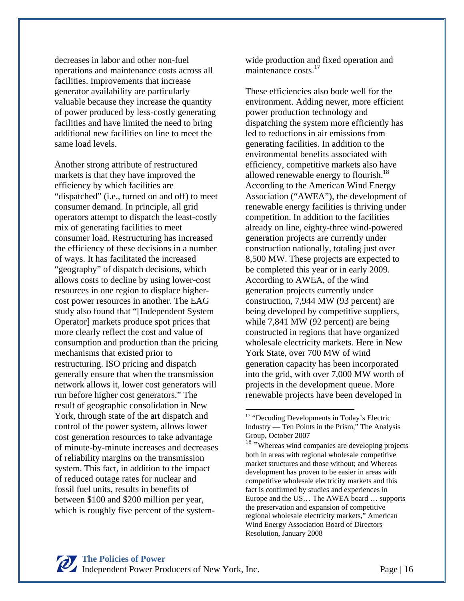decreases in labor and other non-fuel operations and maintenance costs across all facilities. Improvements that increase generator availability are particularly valuable because they increase the quantity of power produced by less-costly generating facilities and have limited the need to bring additional new facilities on line to meet the same load levels.

Another strong attribute of restructured markets is that they have improved the efficiency by which facilities are "dispatched" (i.e., turned on and off) to meet consumer demand. In principle, all grid operators attempt to dispatch the least-costly mix of generating facilities to meet consumer load. Restructuring has increased the efficiency of these decisions in a number of ways. It has facilitated the increased "geography" of dispatch decisions, which allows costs to decline by using lower-cost resources in one region to displace highercost power resources in another. The EAG study also found that "[Independent System Operator] markets produce spot prices that more clearly reflect the cost and value of consumption and production than the pricing mechanisms that existed prior to restructuring. ISO pricing and dispatch generally ensure that when the transmission network allows it, lower cost generators will run before higher cost generators." The result of geographic consolidation in New York, through state of the art dispatch and control of the power system, allows lower cost generation resources to take advantage of minute-by-minute increases and decreases of reliability margins on the transmission system. This fact, in addition to the impact of reduced outage rates for nuclear and fossil fuel units, results in benefits of between \$100 and \$200 million per year, which is roughly five percent of the systemwide production and fixed operation and maintenance costs.<sup>17</sup>

These efficiencies also bode well for the environment. Adding newer, more efficient power production technology and dispatching the system more efficiently has led to reductions in air emissions from generating facilities. In addition to the environmental benefits associated with efficiency, competitive markets also have allowed renewable energy to flourish.<sup>18</sup> According to the American Wind Energy Association ("AWEA"), the development of renewable energy facilities is thriving under competition. In addition to the facilities already on line, eighty-three wind-powered generation projects are currently under construction nationally, totaling just over 8,500 MW. These projects are expected to be completed this year or in early 2009. According to AWEA, of the wind generation projects currently under construction, 7,944 MW (93 percent) are being developed by competitive suppliers, while 7,841 MW (92 percent) are being constructed in regions that have organized wholesale electricity markets. Here in New York State, over 700 MW of wind generation capacity has been incorporated into the grid, with over 7,000 MW worth of projects in the development queue. More renewable projects have been developed in

 $\overline{a}$ 

<sup>&</sup>lt;sup>17</sup> "Decoding Developments in Today's Electric Industry — Ten Points in the Prism," The Analysis Group, October 2007

<sup>&</sup>lt;sup>18</sup> "Whereas wind companies are developing projects both in areas with regional wholesale competitive market structures and those without; and Whereas development has proven to be easier in areas with competitive wholesale electricity markets and this fact is confirmed by studies and experiences in Europe and the US… The AWEA board … supports the preservation and expansion of competitive regional wholesale electricity markets," American Wind Energy Association Board of Directors Resolution, January 2008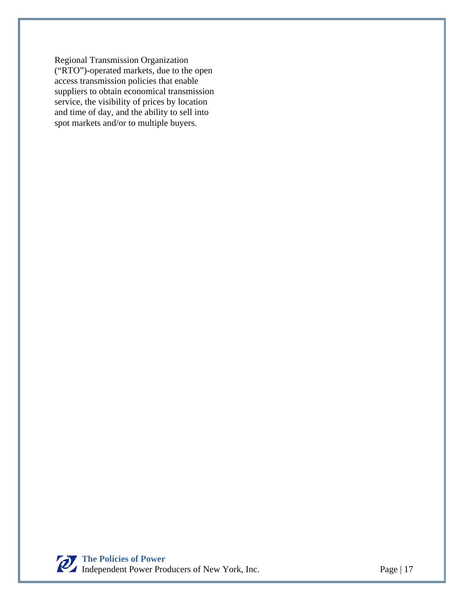Regional Transmission Organization ("RTO")-operated markets, due to the open access transmission policies that enable suppliers to obtain economical transmission service, the visibility of prices by location and time of day, and the ability to sell into spot markets and/or to multiple buyers.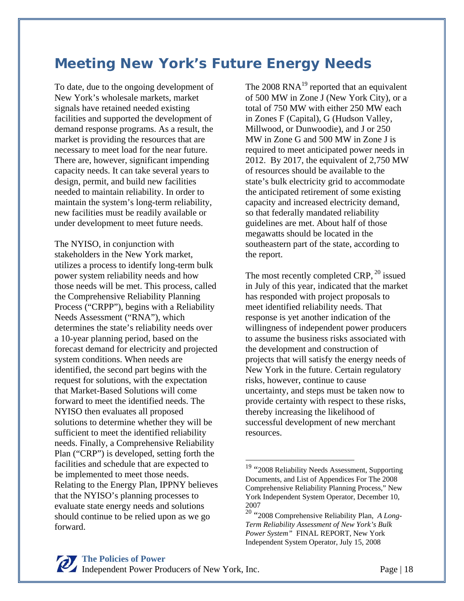# **Meeting New York's Future Energy Needs**

To date, due to the ongoing development of New York's wholesale markets, market signals have retained needed existing facilities and supported the development of demand response programs. As a result, the market is providing the resources that are necessary to meet load for the near future. There are, however, significant impending capacity needs. It can take several years to design, permit, and build new facilities needed to maintain reliability. In order to maintain the system's long-term reliability, new facilities must be readily available or under development to meet future needs.

The NYISO, in conjunction with stakeholders in the New York market, utilizes a process to identify long-term bulk power system reliability needs and how those needs will be met. This process, called the Comprehensive Reliability Planning Process ("CRPP"), begins with a Reliability Needs Assessment ("RNA"), which determines the state's reliability needs over a 10-year planning period, based on the forecast demand for electricity and projected system conditions. When needs are identified, the second part begins with the request for solutions, with the expectation that Market-Based Solutions will come forward to meet the identified needs. The NYISO then evaluates all proposed solutions to determine whether they will be sufficient to meet the identified reliability needs. Finally, a Comprehensive Reliability Plan ("CRP") is developed, setting forth the facilities and schedule that are expected to be implemented to meet those needs. Relating to the Energy Plan, IPPNY believes that the NYISO's planning processes to evaluate state energy needs and solutions should continue to be relied upon as we go forward.

The  $2008 \text{ RNA}^{19}$  reported that an equivalent of 500 MW in Zone J (New York City), or a total of 750 MW with either 250 MW each in Zones F (Capital), G (Hudson Valley, Millwood, or Dunwoodie), and J or 250 MW in Zone G and 500 MW in Zone J is required to meet anticipated power needs in 2012. By 2017, the equivalent of 2,750 MW of resources should be available to the state's bulk electricity grid to accommodate the anticipated retirement of some existing capacity and increased electricity demand, so that federally mandated reliability guidelines are met. About half of those megawatts should be located in the southeastern part of the state, according to the report.

The most recently completed CRP,  $^{20}$  issued in July of this year, indicated that the market has responded with project proposals to meet identified reliability needs. That response is yet another indication of the willingness of independent power producers to assume the business risks associated with the development and construction of projects that will satisfy the energy needs of New York in the future. Certain regulatory risks, however, continue to cause uncertainty, and steps must be taken now to provide certainty with respect to these risks, thereby increasing the likelihood of successful development of new merchant resources.

1

<sup>&</sup>lt;sup>19</sup> "2008 Reliability Needs Assessment, Supporting Documents, and List of Appendices For The 2008 Comprehensive Reliability Planning Process," New York Independent System Operator, December 10, 2007

<sup>20 &</sup>quot;2008 Comprehensive Reliability Plan, *A Long-Term Reliability Assessment of New York's Bulk Power System"* FINAL REPORT, New York Independent System Operator, July 15, 2008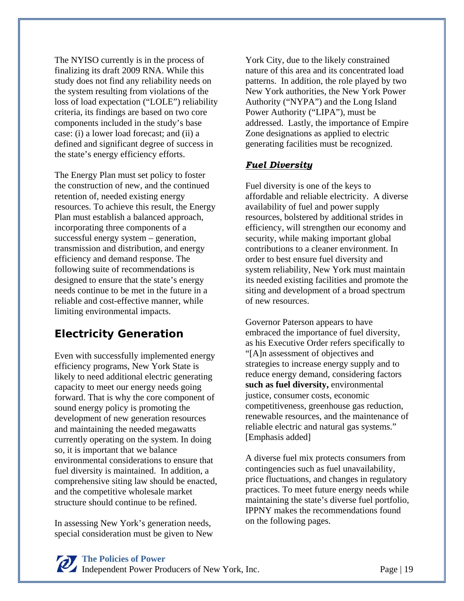The NYISO currently is in the process of finalizing its draft 2009 RNA. While this study does not find any reliability needs on the system resulting from violations of the loss of load expectation ("LOLE") reliability criteria, its findings are based on two core components included in the study's base case: (i) a lower load forecast; and (ii) a defined and significant degree of success in the state's energy efficiency efforts.

The Energy Plan must set policy to foster the construction of new, and the continued retention of, needed existing energy resources. To achieve this result, the Energy Plan must establish a balanced approach, incorporating three components of a successful energy system – generation, transmission and distribution, and energy efficiency and demand response. The following suite of recommendations is designed to ensure that the state's energy needs continue to be met in the future in a reliable and cost-effective manner, while limiting environmental impacts.

#### **Electricity Generation**

Even with successfully implemented energy efficiency programs, New York State is likely to need additional electric generating capacity to meet our energy needs going forward. That is why the core component of sound energy policy is promoting the development of new generation resources and maintaining the needed megawatts currently operating on the system. In doing so, it is important that we balance environmental considerations to ensure that fuel diversity is maintained. In addition, a comprehensive siting law should be enacted, and the competitive wholesale market structure should continue to be refined.

In assessing New York's generation needs, special consideration must be given to New York City, due to the likely constrained nature of this area and its concentrated load patterns. In addition, the role played by two New York authorities, the New York Power Authority ("NYPA") and the Long Island Power Authority ("LIPA"), must be addressed. Lastly, the importance of Empire Zone designations as applied to electric generating facilities must be recognized.

#### *Fuel Diversity*

Fuel diversity is one of the keys to affordable and reliable electricity. A diverse availability of fuel and power supply resources, bolstered by additional strides in efficiency, will strengthen our economy and security, while making important global contributions to a cleaner environment. In order to best ensure fuel diversity and system reliability, New York must maintain its needed existing facilities and promote the siting and development of a broad spectrum of new resources.

Governor Paterson appears to have embraced the importance of fuel diversity, as his Executive Order refers specifically to "[A]n assessment of objectives and strategies to increase energy supply and to reduce energy demand, considering factors **such as fuel diversity,** environmental justice, consumer costs, economic competitiveness, greenhouse gas reduction, renewable resources, and the maintenance of reliable electric and natural gas systems." [Emphasis added]

A diverse fuel mix protects consumers from contingencies such as fuel unavailability, price fluctuations, and changes in regulatory practices. To meet future energy needs while maintaining the state's diverse fuel portfolio, IPPNY makes the recommendations found on the following pages.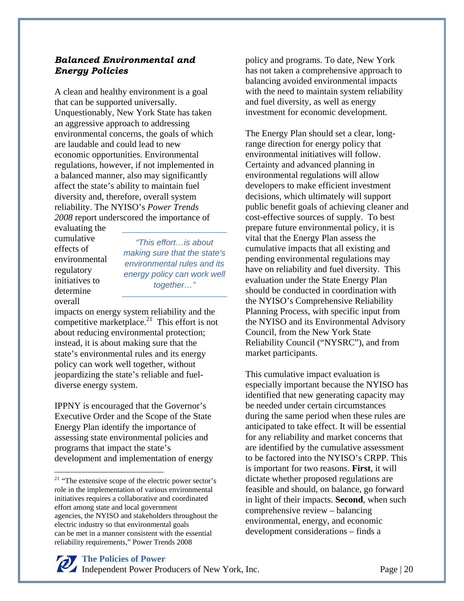#### *Balanced Environmental and Energy Policies*

A clean and healthy environment is a goal that can be supported universally. Unquestionably, New York State has taken an aggressive approach to addressing environmental concerns, the goals of which are laudable and could lead to new economic opportunities. Environmental regulations, however, if not implemented in a balanced manner, also may significantly affect the state's ability to maintain fuel diversity and, therefore, overall system reliability. The NYISO's *Power Trends 2008* report underscored the importance of

evaluating the cumulative effects of environmental regulatory initiatives to determine overall

 $\overline{a}$ 

*"This effort…is about making sure that the state's environmental rules and its energy policy can work well together…"* 

impacts on energy system reliability and the competitive marketplace.<sup>21</sup> This effort is not about reducing environmental protection; instead, it is about making sure that the state's environmental rules and its energy policy can work well together, without jeopardizing the state's reliable and fueldiverse energy system.

IPPNY is encouraged that the Governor's Executive Order and the Scope of the State Energy Plan identify the importance of assessing state environmental policies and programs that impact the state's development and implementation of energy policy and programs. To date, New York has not taken a comprehensive approach to balancing avoided environmental impacts with the need to maintain system reliability and fuel diversity, as well as energy investment for economic development.

The Energy Plan should set a clear, longrange direction for energy policy that environmental initiatives will follow. Certainty and advanced planning in environmental regulations will allow developers to make efficient investment decisions, which ultimately will support public benefit goals of achieving cleaner and cost-effective sources of supply. To best prepare future environmental policy, it is vital that the Energy Plan assess the cumulative impacts that all existing and pending environmental regulations may have on reliability and fuel diversity. This evaluation under the State Energy Plan should be conducted in coordination with the NYISO's Comprehensive Reliability Planning Process, with specific input from the NYISO and its Environmental Advisory Council, from the New York State Reliability Council ("NYSRC"), and from market participants.

This cumulative impact evaluation is especially important because the NYISO has identified that new generating capacity may be needed under certain circumstances during the same period when these rules are anticipated to take effect. It will be essential for any reliability and market concerns that are identified by the cumulative assessment to be factored into the NYISO's CRPP. This is important for two reasons. **First**, it will dictate whether proposed regulations are feasible and should, on balance, go forward in light of their impacts. **Second**, when such comprehensive review – balancing environmental, energy, and economic development considerations – finds a

<sup>&</sup>lt;sup>21</sup> "The extensive scope of the electric power sector's role in the implementation of various environmental initiatives requires a collaborative and coordinated effort among state and local government agencies, the NYISO and stakeholders throughout the electric industry so that environmental goals can be met in a manner consistent with the essential reliability requirements," Power Trends 2008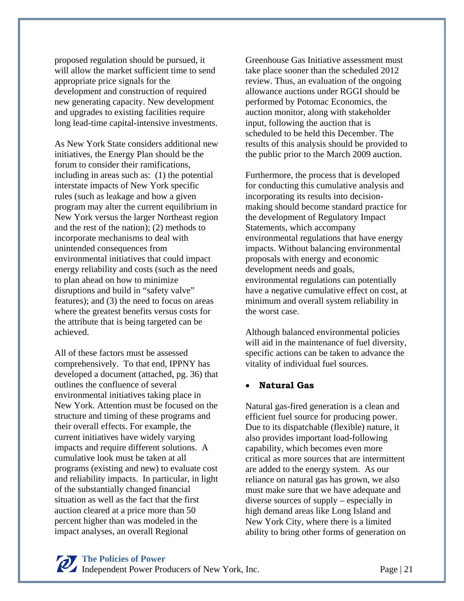proposed regulation should be pursued, it will allow the market sufficient time to send appropriate price signals for the development and construction of required new generating capacity. New development and upgrades to existing facilities require long lead-time capital-intensive investments.

As New York State considers additional new initiatives, the Energy Plan should be the forum to consider their ramifications, including in areas such as: (1) the potential interstate impacts of New York specific rules (such as leakage and how a given program may alter the current equilibrium in New York versus the larger Northeast region and the rest of the nation); (2) methods to incorporate mechanisms to deal with unintended consequences from environmental initiatives that could impact energy reliability and costs (such as the need to plan ahead on how to minimize disruptions and build in "safety valve" features); and (3) the need to focus on areas where the greatest benefits versus costs for the attribute that is being targeted can be achieved.

All of these factors must be assessed comprehensively. To that end, IPPNY has developed a document (attached, pg. 36) that outlines the confluence of several environmental initiatives taking place in New York. Attention must be focused on the structure and timing of these programs and their overall effects. For example, the current initiatives have widely varying impacts and require different solutions. A cumulative look must be taken at all programs (existing and new) to evaluate cost and reliability impacts. In particular, in light of the substantially changed financial situation as well as the fact that the first auction cleared at a price more than 50 percent higher than was modeled in the impact analyses, an overall Regional

Greenhouse Gas Initiative assessment must take place sooner than the scheduled 2012 review. Thus, an evaluation of the ongoing allowance auctions under RGGI should be performed by Potomac Economics, the auction monitor, along with stakeholder input, following the auction that is scheduled to be held this December. The results of this analysis should be provided to the public prior to the March 2009 auction.

Furthermore, the process that is developed for conducting this cumulative analysis and incorporating its results into decisionmaking should become standard practice for the development of Regulatory Impact Statements, which accompany environmental regulations that have energy impacts. Without balancing environmental proposals with energy and economic development needs and goals, environmental regulations can potentially have a negative cumulative effect on cost, at minimum and overall system reliability in the worst case.

Although balanced environmental policies will aid in the maintenance of fuel diversity, specific actions can be taken to advance the vitality of individual fuel sources.

#### • **Natural Gas**

Natural gas-fired generation is a clean and efficient fuel source for producing power. Due to its dispatchable (flexible) nature, it also provides important load-following capability, which becomes even more critical as more sources that are intermittent are added to the energy system. As our reliance on natural gas has grown, we also must make sure that we have adequate and diverse sources of supply – especially in high demand areas like Long Island and New York City, where there is a limited ability to bring other forms of generation on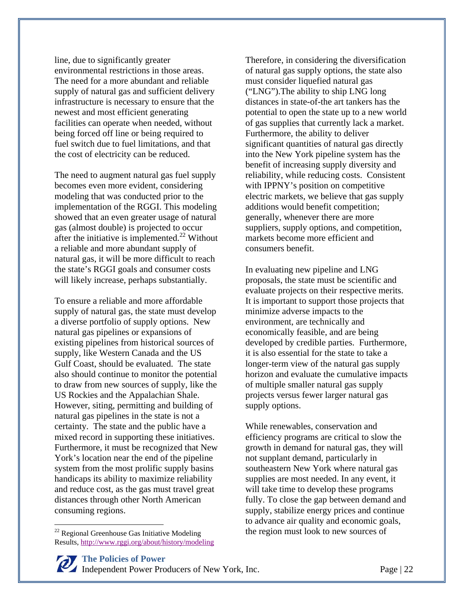line, due to significantly greater environmental restrictions in those areas. The need for a more abundant and reliable supply of natural gas and sufficient delivery infrastructure is necessary to ensure that the newest and most efficient generating facilities can operate when needed, without being forced off line or being required to fuel switch due to fuel limitations, and that the cost of electricity can be reduced.

The need to augment natural gas fuel supply becomes even more evident, considering modeling that was conducted prior to the implementation of the RGGI. This modeling showed that an even greater usage of natural gas (almost double) is projected to occur after the initiative is implemented. $^{22}$  Without a reliable and more abundant supply of natural gas, it will be more difficult to reach the state's RGGI goals and consumer costs will likely increase, perhaps substantially.

To ensure a reliable and more affordable supply of natural gas, the state must develop a diverse portfolio of supply options. New natural gas pipelines or expansions of existing pipelines from historical sources of supply, like Western Canada and the US Gulf Coast, should be evaluated. The state also should continue to monitor the potential to draw from new sources of supply, like the US Rockies and the Appalachian Shale. However, siting, permitting and building of natural gas pipelines in the state is not a certainty. The state and the public have a mixed record in supporting these initiatives. Furthermore, it must be recognized that New York's location near the end of the pipeline system from the most prolific supply basins handicaps its ability to maximize reliability and reduce cost, as the gas must travel great distances through other North American consuming regions.

 $\overline{a}$ 

Therefore, in considering the diversification of natural gas supply options, the state also must consider liquefied natural gas ("LNG").The ability to ship LNG long distances in state-of-the art tankers has the potential to open the state up to a new world of gas supplies that currently lack a market. Furthermore, the ability to deliver significant quantities of natural gas directly into the New York pipeline system has the benefit of increasing supply diversity and reliability, while reducing costs. Consistent with IPPNY's position on competitive electric markets, we believe that gas supply additions would benefit competition; generally, whenever there are more suppliers, supply options, and competition, markets become more efficient and consumers benefit.

In evaluating new pipeline and LNG proposals, the state must be scientific and evaluate projects on their respective merits. It is important to support those projects that minimize adverse impacts to the environment, are technically and economically feasible, and are being developed by credible parties. Furthermore, it is also essential for the state to take a longer-term view of the natural gas supply horizon and evaluate the cumulative impacts of multiple smaller natural gas supply projects versus fewer larger natural gas supply options.

While renewables, conservation and efficiency programs are critical to slow the growth in demand for natural gas, they will not supplant demand, particularly in southeastern New York where natural gas supplies are most needed. In any event, it will take time to develop these programs fully. To close the gap between demand and supply, stabilize energy prices and continue to advance air quality and economic goals, the region must look to new sources of

 $22$  Regional Greenhouse Gas Initiative Modeling Results, http://www.rggi.org/about/history/modeling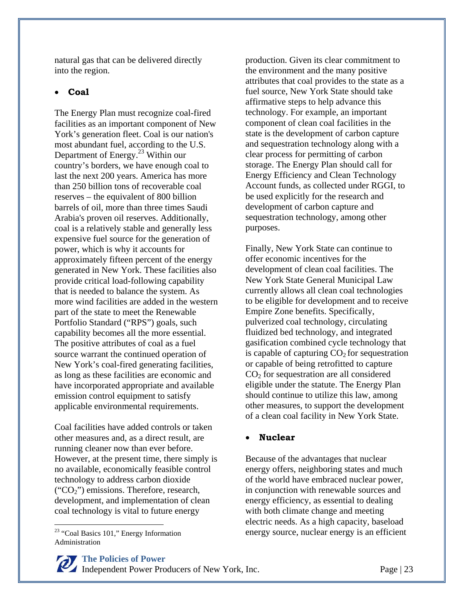natural gas that can be delivered directly into the region.

#### • **Coal**

The Energy Plan must recognize coal-fired facilities as an important component of New York's generation fleet. Coal is our nation's most abundant fuel, according to the U.S. Department of Energy.23 Within our country's borders, we have enough coal to last the next 200 years. America has more than 250 billion tons of recoverable coal reserves – the equivalent of 800 billion barrels of oil, more than three times Saudi Arabia's proven oil reserves. Additionally, coal is a relatively stable and generally less expensive fuel source for the generation of power, which is why it accounts for approximately fifteen percent of the energy generated in New York. These facilities also provide critical load-following capability that is needed to balance the system. As more wind facilities are added in the western part of the state to meet the Renewable Portfolio Standard ("RPS") goals, such capability becomes all the more essential. The positive attributes of coal as a fuel source warrant the continued operation of New York's coal-fired generating facilities, as long as these facilities are economic and have incorporated appropriate and available emission control equipment to satisfy applicable environmental requirements.

Coal facilities have added controls or taken other measures and, as a direct result, are running cleaner now than ever before. However, at the present time, there simply is no available, economically feasible control technology to address carbon dioxide  $("CO<sub>2</sub>")$  emissions. Therefore, research, development, and implementation of clean coal technology is vital to future energy

<sup>23</sup> "Coal Basics 101," Energy Information Administration

 $\overline{a}$ 

production. Given its clear commitment to the environment and the many positive attributes that coal provides to the state as a fuel source, New York State should take affirmative steps to help advance this technology. For example, an important component of clean coal facilities in the state is the development of carbon capture and sequestration technology along with a clear process for permitting of carbon storage. The Energy Plan should call for Energy Efficiency and Clean Technology Account funds, as collected under RGGI, to be used explicitly for the research and development of carbon capture and sequestration technology, among other purposes.

Finally, New York State can continue to offer economic incentives for the development of clean coal facilities. The New York State General Municipal Law currently allows all clean coal technologies to be eligible for development and to receive Empire Zone benefits. Specifically, pulverized coal technology, circulating fluidized bed technology, and integrated gasification combined cycle technology that is capable of capturing  $CO<sub>2</sub>$  for sequestration or capable of being retrofitted to capture  $CO<sub>2</sub>$  for sequestration are all considered eligible under the statute. The Energy Plan should continue to utilize this law, among other measures, to support the development of a clean coal facility in New York State.

#### • **Nuclear**

Because of the advantages that nuclear energy offers, neighboring states and much of the world have embraced nuclear power, in conjunction with renewable sources and energy efficiency, as essential to dealing with both climate change and meeting electric needs. As a high capacity, baseload energy source, nuclear energy is an efficient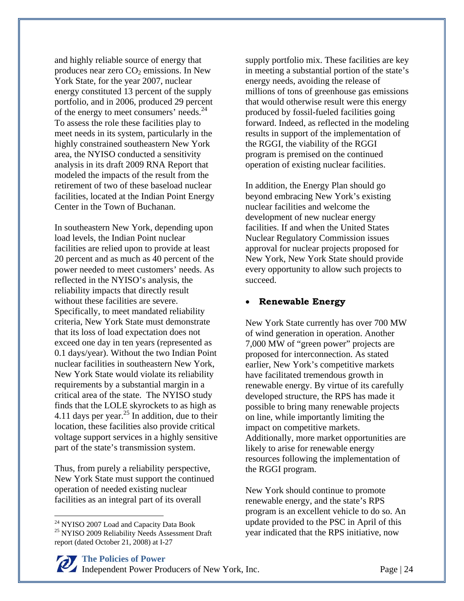and highly reliable source of energy that produces near zero  $CO<sub>2</sub>$  emissions. In New York State, for the year 2007, nuclear energy constituted 13 percent of the supply portfolio, and in 2006, produced 29 percent of the energy to meet consumers' needs.<sup>24</sup> To assess the role these facilities play to meet needs in its system, particularly in the highly constrained southeastern New York area, the NYISO conducted a sensitivity analysis in its draft 2009 RNA Report that modeled the impacts of the result from the retirement of two of these baseload nuclear facilities, located at the Indian Point Energy Center in the Town of Buchanan.

In southeastern New York, depending upon load levels, the Indian Point nuclear facilities are relied upon to provide at least 20 percent and as much as 40 percent of the power needed to meet customers' needs. As reflected in the NYISO's analysis, the reliability impacts that directly result without these facilities are severe. Specifically, to meet mandated reliability criteria, New York State must demonstrate that its loss of load expectation does not exceed one day in ten years (represented as 0.1 days/year). Without the two Indian Point nuclear facilities in southeastern New York, New York State would violate its reliability requirements by a substantial margin in a critical area of the state. The NYISO study finds that the LOLE skyrockets to as high as 4.11 days per year.<sup>25</sup> In addition, due to their location, these facilities also provide critical voltage support services in a highly sensitive part of the state's transmission system.

Thus, from purely a reliability perspective, New York State must support the continued operation of needed existing nuclear facilities as an integral part of its overall

 $\overline{a}$ 

supply portfolio mix. These facilities are key in meeting a substantial portion of the state's energy needs, avoiding the release of millions of tons of greenhouse gas emissions that would otherwise result were this energy produced by fossil-fueled facilities going forward. Indeed, as reflected in the modeling results in support of the implementation of the RGGI, the viability of the RGGI program is premised on the continued operation of existing nuclear facilities.

In addition, the Energy Plan should go beyond embracing New York's existing nuclear facilities and welcome the development of new nuclear energy facilities. If and when the United States Nuclear Regulatory Commission issues approval for nuclear projects proposed for New York, New York State should provide every opportunity to allow such projects to succeed.

#### • **Renewable Energy**

New York State currently has over 700 MW of wind generation in operation. Another 7,000 MW of "green power" projects are proposed for interconnection. As stated earlier, New York's competitive markets have facilitated tremendous growth in renewable energy. By virtue of its carefully developed structure, the RPS has made it possible to bring many renewable projects on line, while importantly limiting the impact on competitive markets. Additionally, more market opportunities are likely to arise for renewable energy resources following the implementation of the RGGI program.

New York should continue to promote renewable energy, and the state's RPS program is an excellent vehicle to do so. An update provided to the PSC in April of this year indicated that the RPS initiative, now



<sup>&</sup>lt;sup>24</sup> NYISO 2007 Load and Capacity Data Book

<sup>&</sup>lt;sup>25</sup> NYISO 2009 Reliability Needs Assessment Draft report (dated October 21, 2008) at I-27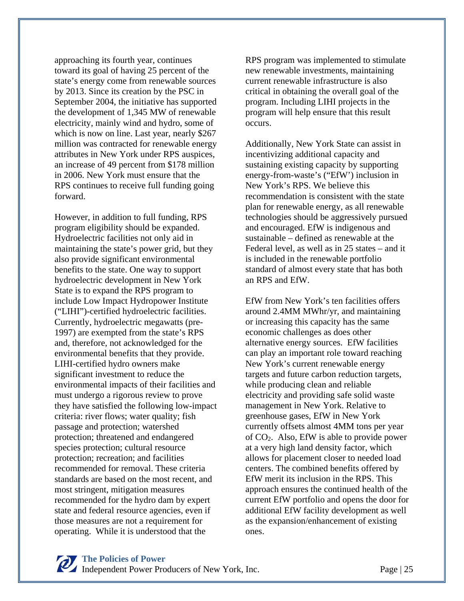approaching its fourth year, continues toward its goal of having 25 percent of the state's energy come from renewable sources by 2013. Since its creation by the PSC in September 2004, the initiative has supported the development of 1,345 MW of renewable electricity, mainly wind and hydro, some of which is now on line. Last year, nearly \$267 million was contracted for renewable energy attributes in New York under RPS auspices, an increase of 49 percent from \$178 million in 2006. New York must ensure that the RPS continues to receive full funding going forward.

However, in addition to full funding, RPS program eligibility should be expanded. Hydroelectric facilities not only aid in maintaining the state's power grid, but they also provide significant environmental benefits to the state. One way to support hydroelectric development in New York State is to expand the RPS program to include Low Impact Hydropower Institute ("LIHI")-certified hydroelectric facilities. Currently, hydroelectric megawatts (pre-1997) are exempted from the state's RPS and, therefore, not acknowledged for the environmental benefits that they provide. LIHI-certified hydro owners make significant investment to reduce the environmental impacts of their facilities and must undergo a rigorous review to prove they have satisfied the following low-impact criteria: river flows; water quality; fish passage and protection; watershed protection; threatened and endangered species protection; cultural resource protection; recreation; and facilities recommended for removal. These criteria standards are based on the most recent, and most stringent, mitigation measures recommended for the hydro dam by expert state and federal resource agencies, even if those measures are not a requirement for operating. While it is understood that the

RPS program was implemented to stimulate new renewable investments, maintaining current renewable infrastructure is also critical in obtaining the overall goal of the program. Including LIHI projects in the program will help ensure that this result occurs.

Additionally, New York State can assist in incentivizing additional capacity and sustaining existing capacity by supporting energy-from-waste's ("EfW') inclusion in New York's RPS. We believe this recommendation is consistent with the state plan for renewable energy, as all renewable technologies should be aggressively pursued and encouraged. EfW is indigenous and sustainable – defined as renewable at the Federal level, as well as in 25 states – and it is included in the renewable portfolio standard of almost every state that has both an RPS and EfW.

EfW from New York's ten facilities offers around 2.4MM MWhr/yr, and maintaining or increasing this capacity has the same economic challenges as does other alternative energy sources. EfW facilities can play an important role toward reaching New York's current renewable energy targets and future carbon reduction targets, while producing clean and reliable electricity and providing safe solid waste management in New York. Relative to greenhouse gases, EfW in New York currently offsets almost 4MM tons per year of  $CO<sub>2</sub>$ . Also, EfW is able to provide power at a very high land density factor, which allows for placement closer to needed load centers. The combined benefits offered by EfW merit its inclusion in the RPS. This approach ensures the continued health of the current EfW portfolio and opens the door for additional EfW facility development as well as the expansion/enhancement of existing ones.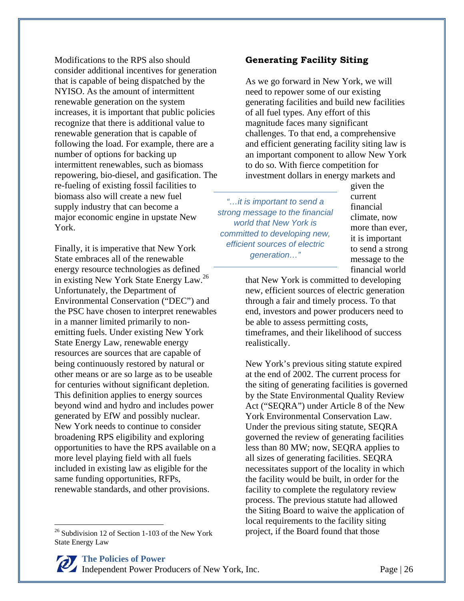Modifications to the RPS also should consider additional incentives for generation that is capable of being dispatched by the NYISO. As the amount of intermittent renewable generation on the system increases, it is important that public policies recognize that there is additional value to renewable generation that is capable of following the load. For example, there are a number of options for backing up intermittent renewables, such as biomass repowering, bio-diesel, and gasification. The re-fueling of existing fossil facilities to biomass also will create a new fuel supply industry that can become a major economic engine in upstate New York.

Finally, it is imperative that New York State embraces all of the renewable energy resource technologies as defined in existing New York State Energy Law.<sup>26</sup> Unfortunately, the Department of Environmental Conservation ("DEC") and the PSC have chosen to interpret renewables in a manner limited primarily to nonemitting fuels. Under existing New York State Energy Law, renewable energy resources are sources that are capable of being continuously restored by natural or other means or are so large as to be useable for centuries without significant depletion. This definition applies to energy sources beyond wind and hydro and includes power generated by EfW and possibly nuclear. New York needs to continue to consider broadening RPS eligibility and exploring opportunities to have the RPS available on a more level playing field with all fuels included in existing law as eligible for the same funding opportunities, RFPs, renewable standards, and other provisions.

 $26$  Subdivision 12 of Section 1-103 of the New York State Energy Law

 $\overline{a}$ 

#### **Generating Facility Siting**

As we go forward in New York, we will need to repower some of our existing generating facilities and build new facilities of all fuel types. Any effort of this magnitude faces many significant challenges. To that end, a comprehensive and efficient generating facility siting law is an important component to allow New York to do so. With fierce competition for investment dollars in energy markets and

*"…it is important to send a strong message to the financial world that New York is committed to developing new, efficient sources of electric generation…"* 

given the current financial climate, now more than ever, it is important to send a strong message to the financial world

that New York is committed to developing new, efficient sources of electric generation through a fair and timely process. To that end, investors and power producers need to be able to assess permitting costs, timeframes, and their likelihood of success realistically.

New York's previous siting statute expired at the end of 2002. The current process for the siting of generating facilities is governed by the State Environmental Quality Review Act ("SEQRA") under Article 8 of the New York Environmental Conservation Law. Under the previous siting statute, SEQRA governed the review of generating facilities less than 80 MW; now, SEQRA applies to all sizes of generating facilities. SEQRA necessitates support of the locality in which the facility would be built, in order for the facility to complete the regulatory review process. The previous statute had allowed the Siting Board to waive the application of local requirements to the facility siting project, if the Board found that those

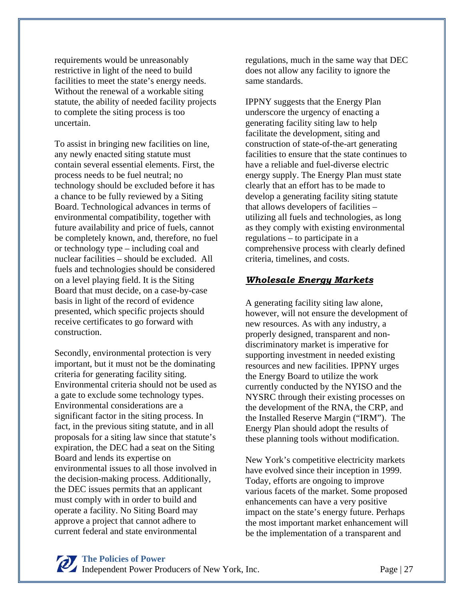requirements would be unreasonably restrictive in light of the need to build facilities to meet the state's energy needs. Without the renewal of a workable siting statute, the ability of needed facility projects to complete the siting process is too uncertain.

To assist in bringing new facilities on line, any newly enacted siting statute must contain several essential elements. First, the process needs to be fuel neutral; no technology should be excluded before it has a chance to be fully reviewed by a Siting Board. Technological advances in terms of environmental compatibility, together with future availability and price of fuels, cannot be completely known, and, therefore, no fuel or technology type – including coal and nuclear facilities – should be excluded. All fuels and technologies should be considered on a level playing field. It is the Siting Board that must decide, on a case-by-case basis in light of the record of evidence presented, which specific projects should receive certificates to go forward with construction.

Secondly, environmental protection is very important, but it must not be the dominating criteria for generating facility siting. Environmental criteria should not be used as a gate to exclude some technology types. Environmental considerations are a significant factor in the siting process. In fact, in the previous siting statute, and in all proposals for a siting law since that statute's expiration, the DEC had a seat on the Siting Board and lends its expertise on environmental issues to all those involved in the decision-making process. Additionally, the DEC issues permits that an applicant must comply with in order to build and operate a facility. No Siting Board may approve a project that cannot adhere to current federal and state environmental

regulations, much in the same way that DEC does not allow any facility to ignore the same standards.

IPPNY suggests that the Energy Plan underscore the urgency of enacting a generating facility siting law to help facilitate the development, siting and construction of state-of-the-art generating facilities to ensure that the state continues to have a reliable and fuel-diverse electric energy supply. The Energy Plan must state clearly that an effort has to be made to develop a generating facility siting statute that allows developers of facilities – utilizing all fuels and technologies, as long as they comply with existing environmental regulations – to participate in a comprehensive process with clearly defined criteria, timelines, and costs.

#### *Wholesale Energy Markets*

A generating facility siting law alone, however, will not ensure the development of new resources. As with any industry, a properly designed, transparent and nondiscriminatory market is imperative for supporting investment in needed existing resources and new facilities. IPPNY urges the Energy Board to utilize the work currently conducted by the NYISO and the NYSRC through their existing processes on the development of the RNA, the CRP, and the Installed Reserve Margin ("IRM"). The Energy Plan should adopt the results of these planning tools without modification.

New York's competitive electricity markets have evolved since their inception in 1999. Today, efforts are ongoing to improve various facets of the market. Some proposed enhancements can have a very positive impact on the state's energy future. Perhaps the most important market enhancement will be the implementation of a transparent and

#### **The Policies of Power**

Independent Power Producers of New York, Inc. Page | 27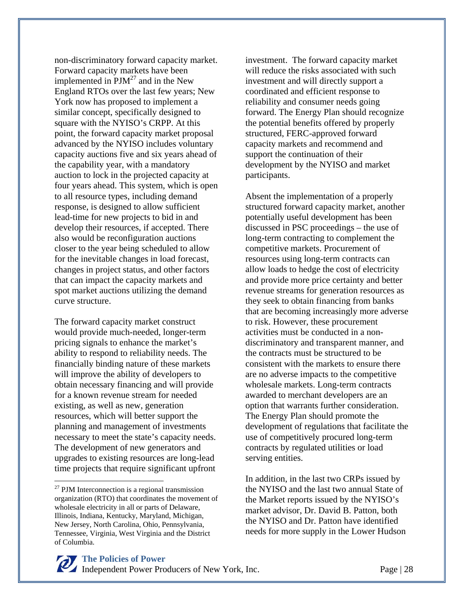non-discriminatory forward capacity market. Forward capacity markets have been implemented in  $PJM^{27}$  and in the New England RTOs over the last few years; New York now has proposed to implement a similar concept, specifically designed to square with the NYISO's CRPP. At this point, the forward capacity market proposal advanced by the NYISO includes voluntary capacity auctions five and six years ahead of the capability year, with a mandatory auction to lock in the projected capacity at four years ahead. This system, which is open to all resource types, including demand response, is designed to allow sufficient lead-time for new projects to bid in and develop their resources, if accepted. There also would be reconfiguration auctions closer to the year being scheduled to allow for the inevitable changes in load forecast, changes in project status, and other factors that can impact the capacity markets and spot market auctions utilizing the demand curve structure.

The forward capacity market construct would provide much-needed, longer-term pricing signals to enhance the market's ability to respond to reliability needs. The financially binding nature of these markets will improve the ability of developers to obtain necessary financing and will provide for a known revenue stream for needed existing, as well as new, generation resources, which will better support the planning and management of investments necessary to meet the state's capacity needs. The development of new generators and upgrades to existing resources are long-lead time projects that require significant upfront

 $\overline{a}$ 

investment. The forward capacity market will reduce the risks associated with such investment and will directly support a coordinated and efficient response to reliability and consumer needs going forward. The Energy Plan should recognize the potential benefits offered by properly structured, FERC-approved forward capacity markets and recommend and support the continuation of their development by the NYISO and market participants.

Absent the implementation of a properly structured forward capacity market, another potentially useful development has been discussed in PSC proceedings – the use of long-term contracting to complement the competitive markets. Procurement of resources using long-term contracts can allow loads to hedge the cost of electricity and provide more price certainty and better revenue streams for generation resources as they seek to obtain financing from banks that are becoming increasingly more adverse to risk. However, these procurement activities must be conducted in a nondiscriminatory and transparent manner, and the contracts must be structured to be consistent with the markets to ensure there are no adverse impacts to the competitive wholesale markets. Long-term contracts awarded to merchant developers are an option that warrants further consideration. The Energy Plan should promote the development of regulations that facilitate the use of competitively procured long-term contracts by regulated utilities or load serving entities.

In addition, in the last two CRPs issued by the NYISO and the last two annual State of the Market reports issued by the NYISO's market advisor, Dr. David B. Patton, both the NYISO and Dr. Patton have identified needs for more supply in the Lower Hudson

 $27$  PJM Interconnection is a regional transmission organization (RTO) that coordinates the movement of wholesale electricity in all or parts of Delaware, Illinois, Indiana, Kentucky, Maryland, Michigan, New Jersey, North Carolina, Ohio, Pennsylvania, Tennessee, Virginia, West Virginia and the District of Columbia.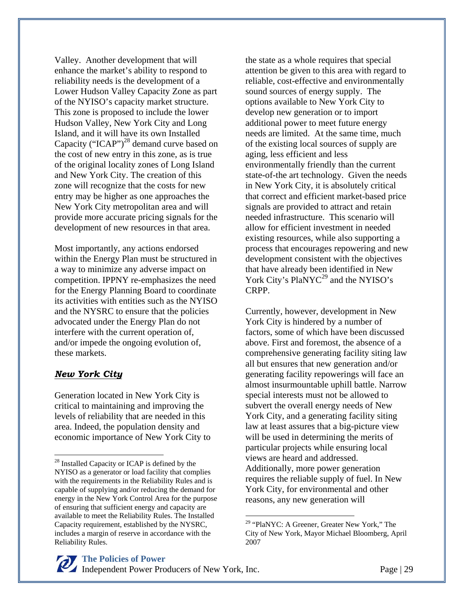Valley. Another development that will enhance the market's ability to respond to reliability needs is the development of a Lower Hudson Valley Capacity Zone as part of the NYISO's capacity market structure. This zone is proposed to include the lower Hudson Valley, New York City and Long Island, and it will have its own Installed Capacity ("ICAP")<sup>28</sup> demand curve based on the cost of new entry in this zone, as is true of the original locality zones of Long Island and New York City. The creation of this zone will recognize that the costs for new entry may be higher as one approaches the New York City metropolitan area and will provide more accurate pricing signals for the development of new resources in that area.

Most importantly, any actions endorsed within the Energy Plan must be structured in a way to minimize any adverse impact on competition. IPPNY re-emphasizes the need for the Energy Planning Board to coordinate its activities with entities such as the NYISO and the NYSRC to ensure that the policies advocated under the Energy Plan do not interfere with the current operation of, and/or impede the ongoing evolution of, these markets.

#### *New York City*

1

Generation located in New York City is critical to maintaining and improving the levels of reliability that are needed in this area. Indeed, the population density and economic importance of New York City to the state as a whole requires that special attention be given to this area with regard to reliable, cost-effective and environmentally sound sources of energy supply. The options available to New York City to develop new generation or to import additional power to meet future energy needs are limited. At the same time, much of the existing local sources of supply are aging, less efficient and less environmentally friendly than the current state-of-the art technology. Given the needs in New York City, it is absolutely critical that correct and efficient market-based price signals are provided to attract and retain needed infrastructure. This scenario will allow for efficient investment in needed existing resources, while also supporting a process that encourages repowering and new development consistent with the objectives that have already been identified in New York City's PlaNYC<sup>29</sup> and the NYISO's CRPP.

Currently, however, development in New York City is hindered by a number of factors, some of which have been discussed above. First and foremost, the absence of a comprehensive generating facility siting law all but ensures that new generation and/or generating facility repowerings will face an almost insurmountable uphill battle. Narrow special interests must not be allowed to subvert the overall energy needs of New York City, and a generating facility siting law at least assures that a big-picture view will be used in determining the merits of particular projects while ensuring local views are heard and addressed. Additionally, more power generation requires the reliable supply of fuel. In New York City, for environmental and other reasons, any new generation will

 $\overline{a}$ 

<sup>&</sup>lt;sup>28</sup> Installed Capacity or ICAP is defined by the NYISO as a generator or load facility that complies with the requirements in the Reliability Rules and is capable of supplying and/or reducing the demand for energy in the New York Control Area for the purpose of ensuring that sufficient energy and capacity are available to meet the Reliability Rules. The Installed Capacity requirement, established by the NYSRC, includes a margin of reserve in accordance with the Reliability Rules.

<sup>&</sup>lt;sup>29</sup> "PlaNYC: A Greener, Greater New York," The City of New York, Mayor Michael Bloomberg, April 2007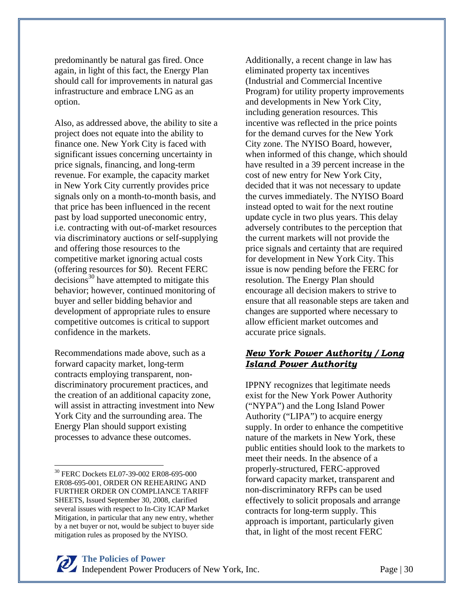predominantly be natural gas fired. Once again, in light of this fact, the Energy Plan should call for improvements in natural gas infrastructure and embrace LNG as an option.

Also, as addressed above, the ability to site a project does not equate into the ability to finance one. New York City is faced with significant issues concerning uncertainty in price signals, financing, and long-term revenue. For example, the capacity market in New York City currently provides price signals only on a month-to-month basis, and that price has been influenced in the recent past by load supported uneconomic entry, i.e. contracting with out-of-market resources via discriminatory auctions or self-supplying and offering those resources to the competitive market ignoring actual costs (offering resources for \$0). Recent FERC  $decisions<sup>30</sup>$  have attempted to mitigate this behavior; however, continued monitoring of buyer and seller bidding behavior and development of appropriate rules to ensure competitive outcomes is critical to support confidence in the markets.

Recommendations made above, such as a forward capacity market, long-term contracts employing transparent, nondiscriminatory procurement practices, and the creation of an additional capacity zone, will assist in attracting investment into New York City and the surrounding area. The Energy Plan should support existing processes to advance these outcomes.

 $\overline{a}$ 

Additionally, a recent change in law has eliminated property tax incentives (Industrial and Commercial Incentive Program) for utility property improvements and developments in New York City, including generation resources. This incentive was reflected in the price points for the demand curves for the New York City zone. The NYISO Board, however, when informed of this change, which should have resulted in a 39 percent increase in the cost of new entry for New York City, decided that it was not necessary to update the curves immediately. The NYISO Board instead opted to wait for the next routine update cycle in two plus years. This delay adversely contributes to the perception that the current markets will not provide the price signals and certainty that are required for development in New York City. This issue is now pending before the FERC for resolution. The Energy Plan should encourage all decision makers to strive to ensure that all reasonable steps are taken and changes are supported where necessary to allow efficient market outcomes and accurate price signals.

#### *New York Power Authority / Long Island Power Authority*

IPPNY recognizes that legitimate needs exist for the New York Power Authority ("NYPA") and the Long Island Power Authority ("LIPA") to acquire energy supply. In order to enhance the competitive nature of the markets in New York, these public entities should look to the markets to meet their needs. In the absence of a properly-structured, FERC-approved forward capacity market, transparent and non-discriminatory RFPs can be used effectively to solicit proposals and arrange contracts for long-term supply. This approach is important, particularly given that, in light of the most recent FERC

<sup>30</sup> FERC Dockets EL07-39-002 ER08-695-000 ER08-695-001, ORDER ON REHEARING AND FURTHER ORDER ON COMPLIANCE TARIFF SHEETS, Issued September 30, 2008, clarified several issues with respect to In-City ICAP Market Mitigation, in particular that any new entry, whether by a net buyer or not, would be subject to buyer side mitigation rules as proposed by the NYISO.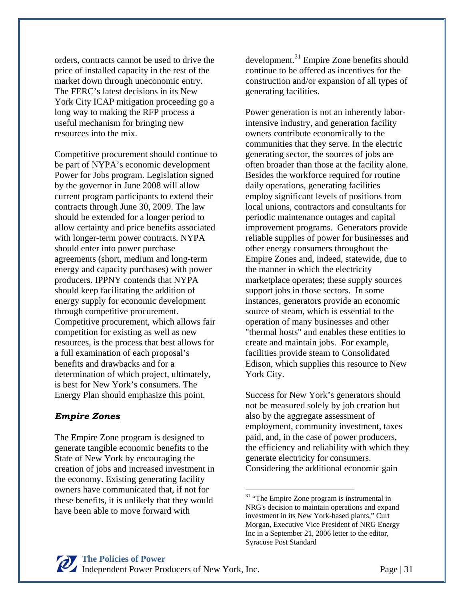orders, contracts cannot be used to drive the price of installed capacity in the rest of the market down through uneconomic entry. The FERC's latest decisions in its New York City ICAP mitigation proceeding go a long way to making the RFP process a useful mechanism for bringing new resources into the mix.

Competitive procurement should continue to be part of NYPA's economic development Power for Jobs program. Legislation signed by the governor in June 2008 will allow current program participants to extend their contracts through June 30, 2009. The law should be extended for a longer period to allow certainty and price benefits associated with longer-term power contracts. NYPA should enter into power purchase agreements (short, medium and long-term energy and capacity purchases) with power producers. IPPNY contends that NYPA should keep facilitating the addition of energy supply for economic development through competitive procurement. Competitive procurement, which allows fair competition for existing as well as new resources, is the process that best allows for a full examination of each proposal's benefits and drawbacks and for a determination of which project, ultimately, is best for New York's consumers. The Energy Plan should emphasize this point.

#### *Empire Zones*

The Empire Zone program is designed to generate tangible economic benefits to the State of New York by encouraging the creation of jobs and increased investment in the economy. Existing generating facility owners have communicated that, if not for these benefits, it is unlikely that they would have been able to move forward with

development.<sup>31</sup> Empire Zone benefits should continue to be offered as incentives for the construction and/or expansion of all types of generating facilities.

Power generation is not an inherently laborintensive industry, and generation facility owners contribute economically to the communities that they serve. In the electric generating sector, the sources of jobs are often broader than those at the facility alone. Besides the workforce required for routine daily operations, generating facilities employ significant levels of positions from local unions, contractors and consultants for periodic maintenance outages and capital improvement programs. Generators provide reliable supplies of power for businesses and other energy consumers throughout the Empire Zones and, indeed, statewide, due to the manner in which the electricity marketplace operates; these supply sources support jobs in those sectors. In some instances, generators provide an economic source of steam, which is essential to the operation of many businesses and other "thermal hosts" and enables these entities to create and maintain jobs. For example, facilities provide steam to Consolidated Edison, which supplies this resource to New York City.

Success for New York's generators should not be measured solely by job creation but also by the aggregate assessment of employment, community investment, taxes paid, and, in the case of power producers, the efficiency and reliability with which they generate electricity for consumers. Considering the additional economic gain

 $\overline{a}$ 

<sup>&</sup>lt;sup>31</sup> "The Empire Zone program is instrumental in NRG's decision to maintain operations and expand investment in its New York-based plants," Curt Morgan, Executive Vice President of NRG Energy Inc in a September 21, 2006 letter to the editor, Syracuse Post Standard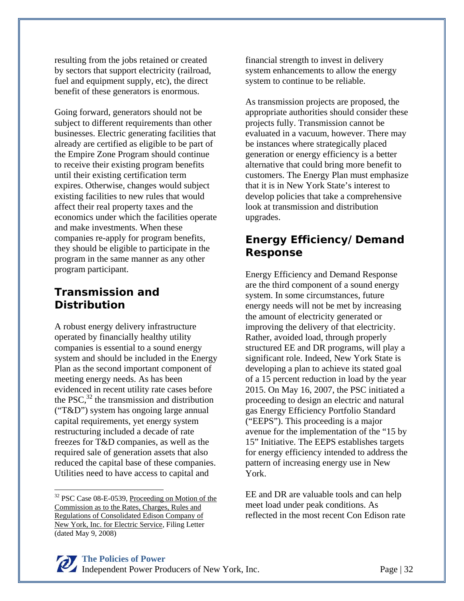resulting from the jobs retained or created by sectors that support electricity (railroad, fuel and equipment supply, etc), the direct benefit of these generators is enormous.

Going forward, generators should not be subject to different requirements than other businesses. Electric generating facilities that already are certified as eligible to be part of the Empire Zone Program should continue to receive their existing program benefits until their existing certification term expires. Otherwise, changes would subject existing facilities to new rules that would affect their real property taxes and the economics under which the facilities operate and make investments. When these companies re-apply for program benefits, they should be eligible to participate in the program in the same manner as any other program participant.

#### **Transmission and Distribution**

A robust energy delivery infrastructure operated by financially healthy utility companies is essential to a sound energy system and should be included in the Energy Plan as the second important component of meeting energy needs. As has been evidenced in recent utility rate cases before the PSC, $32$  the transmission and distribution ("T&D") system has ongoing large annual capital requirements, yet energy system restructuring included a decade of rate freezes for T&D companies, as well as the required sale of generation assets that also reduced the capital base of these companies. Utilities need to have access to capital and

 $\overline{a}$ 

financial strength to invest in delivery system enhancements to allow the energy system to continue to be reliable.

As transmission projects are proposed, the appropriate authorities should consider these projects fully. Transmission cannot be evaluated in a vacuum, however. There may be instances where strategically placed generation or energy efficiency is a better alternative that could bring more benefit to customers. The Energy Plan must emphasize that it is in New York State's interest to develop policies that take a comprehensive look at transmission and distribution upgrades.

#### **Energy Efficiency/Demand Response**

Energy Efficiency and Demand Response are the third component of a sound energy system. In some circumstances, future energy needs will not be met by increasing the amount of electricity generated or improving the delivery of that electricity. Rather, avoided load, through properly structured EE and DR programs, will play a significant role. Indeed, New York State is developing a plan to achieve its stated goal of a 15 percent reduction in load by the year 2015. On May 16, 2007, the PSC initiated a proceeding to design an electric and natural gas Energy Efficiency Portfolio Standard ("EEPS"). This proceeding is a major avenue for the implementation of the "15 by 15" Initiative. The EEPS establishes targets for energy efficiency intended to address the pattern of increasing energy use in New York.

EE and DR are valuable tools and can help meet load under peak conditions. As reflected in the most recent Con Edison rate

<sup>&</sup>lt;sup>32</sup> PSC Case 08-E-0539, Proceeding on Motion of the Commission as to the Rates, Charges, Rules and Regulations of Consolidated Edison Company of New York, Inc. for Electric Service, Filing Letter (dated May 9, 2008)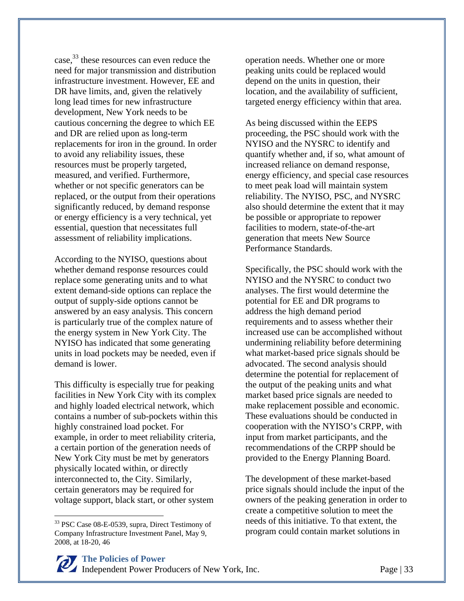case,<sup>33</sup> these resources can even reduce the need for major transmission and distribution infrastructure investment. However, EE and DR have limits, and, given the relatively long lead times for new infrastructure development, New York needs to be cautious concerning the degree to which EE and DR are relied upon as long-term replacements for iron in the ground. In order to avoid any reliability issues, these resources must be properly targeted, measured, and verified. Furthermore, whether or not specific generators can be replaced, or the output from their operations significantly reduced, by demand response or energy efficiency is a very technical, yet essential, question that necessitates full assessment of reliability implications.

According to the NYISO, questions about whether demand response resources could replace some generating units and to what extent demand-side options can replace the output of supply-side options cannot be answered by an easy analysis. This concern is particularly true of the complex nature of the energy system in New York City. The NYISO has indicated that some generating units in load pockets may be needed, even if demand is lower.

This difficulty is especially true for peaking facilities in New York City with its complex and highly loaded electrical network, which contains a number of sub-pockets within this highly constrained load pocket. For example, in order to meet reliability criteria, a certain portion of the generation needs of New York City must be met by generators physically located within, or directly interconnected to, the City. Similarly, certain generators may be required for voltage support, black start, or other system

 $\overline{a}$ 

operation needs. Whether one or more peaking units could be replaced would depend on the units in question, their location, and the availability of sufficient, targeted energy efficiency within that area.

As being discussed within the EEPS proceeding, the PSC should work with the NYISO and the NYSRC to identify and quantify whether and, if so, what amount of increased reliance on demand response, energy efficiency, and special case resources to meet peak load will maintain system reliability. The NYISO, PSC, and NYSRC also should determine the extent that it may be possible or appropriate to repower facilities to modern, state-of-the-art generation that meets New Source Performance Standards.

Specifically, the PSC should work with the NYISO and the NYSRC to conduct two analyses. The first would determine the potential for EE and DR programs to address the high demand period requirements and to assess whether their increased use can be accomplished without undermining reliability before determining what market-based price signals should be advocated. The second analysis should determine the potential for replacement of the output of the peaking units and what market based price signals are needed to make replacement possible and economic. These evaluations should be conducted in cooperation with the NYISO's CRPP, with input from market participants, and the recommendations of the CRPP should be provided to the Energy Planning Board.

The development of these market-based price signals should include the input of the owners of the peaking generation in order to create a competitive solution to meet the needs of this initiative. To that extent, the program could contain market solutions in

<sup>33</sup> PSC Case 08-E-0539, supra, Direct Testimony of Company Infrastructure Investment Panel, May 9, 2008, at 18-20, 46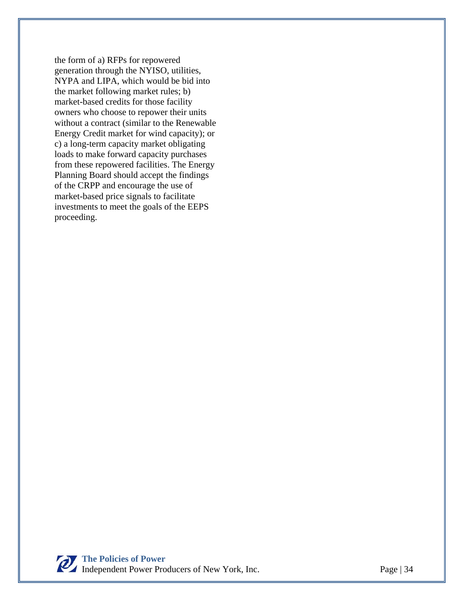the form of a) RFPs for repowered generation through the NYISO, utilities, NYPA and LIPA, which would be bid into the market following market rules; b) market-based credits for those facility owners who choose to repower their units without a contract (similar to the Renewable Energy Credit market for wind capacity); or c) a long-term capacity market obligating loads to make forward capacity purchases from these repowered facilities. The Energy Planning Board should accept the findings of the CRPP and encourage the use of market-based price signals to facilitate investments to meet the goals of the EEPS proceeding.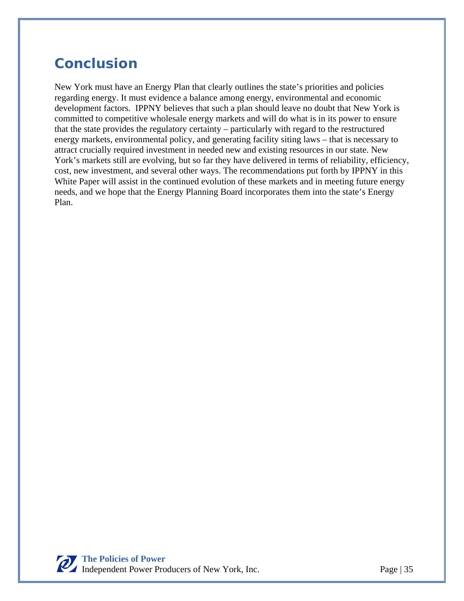# **Conclusion**

New York must have an Energy Plan that clearly outlines the state's priorities and policies regarding energy. It must evidence a balance among energy, environmental and economic development factors. IPPNY believes that such a plan should leave no doubt that New York is committed to competitive wholesale energy markets and will do what is in its power to ensure that the state provides the regulatory certainty – particularly with regard to the restructured energy markets, environmental policy, and generating facility siting laws – that is necessary to attract crucially required investment in needed new and existing resources in our state. New York's markets still are evolving, but so far they have delivered in terms of reliability, efficiency, cost, new investment, and several other ways. The recommendations put forth by IPPNY in this White Paper will assist in the continued evolution of these markets and in meeting future energy needs, and we hope that the Energy Planning Board incorporates them into the state's Energy Plan.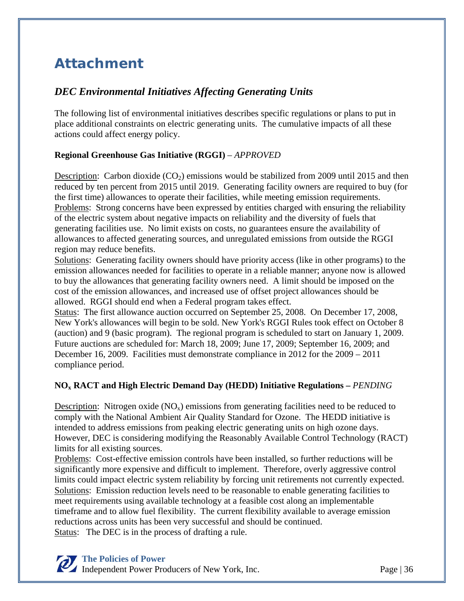# **Attachment**

#### *DEC Environmental Initiatives Affecting Generating Units*

The following list of environmental initiatives describes specific regulations or plans to put in place additional constraints on electric generating units. The cumulative impacts of all these actions could affect energy policy.

#### **Regional Greenhouse Gas Initiative (RGGI)** – *APPROVED*

Description: Carbon dioxide  $(CO_2)$  emissions would be stabilized from 2009 until 2015 and then reduced by ten percent from 2015 until 2019. Generating facility owners are required to buy (for the first time) allowances to operate their facilities, while meeting emission requirements. Problems: Strong concerns have been expressed by entities charged with ensuring the reliability of the electric system about negative impacts on reliability and the diversity of fuels that generating facilities use. No limit exists on costs, no guarantees ensure the availability of allowances to affected generating sources, and unregulated emissions from outside the RGGI region may reduce benefits.

Solutions: Generating facility owners should have priority access (like in other programs) to the emission allowances needed for facilities to operate in a reliable manner; anyone now is allowed to buy the allowances that generating facility owners need. A limit should be imposed on the cost of the emission allowances, and increased use of offset project allowances should be allowed. RGGI should end when a Federal program takes effect.

Status: The first allowance auction occurred on September 25, 2008. On December 17, 2008, New York's allowances will begin to be sold. New York's RGGI Rules took effect on October 8 (auction) and 9 (basic program). The regional program is scheduled to start on January 1, 2009. Future auctions are scheduled for: March 18, 2009; June 17, 2009; September 16, 2009; and December 16, 2009. Facilities must demonstrate compliance in 2012 for the 2009 – 2011 compliance period.

#### **NOx RACT and High Electric Demand Day (HEDD) Initiative Regulations –** *PENDING*

Description: Nitrogen oxide  $(NO<sub>x</sub>)$  emissions from generating facilities need to be reduced to comply with the National Ambient Air Quality Standard for Ozone. The HEDD initiative is intended to address emissions from peaking electric generating units on high ozone days. However, DEC is considering modifying the Reasonably Available Control Technology (RACT) limits for all existing sources.

Problems: Cost-effective emission controls have been installed, so further reductions will be significantly more expensive and difficult to implement. Therefore, overly aggressive control limits could impact electric system reliability by forcing unit retirements not currently expected. Solutions: Emission reduction levels need to be reasonable to enable generating facilities to meet requirements using available technology at a feasible cost along an implementable timeframe and to allow fuel flexibility. The current flexibility available to average emission reductions across units has been very successful and should be continued. Status: The DEC is in the process of drafting a rule.

#### **The Policies of Power**

Independent Power Producers of New York, Inc. Page | 36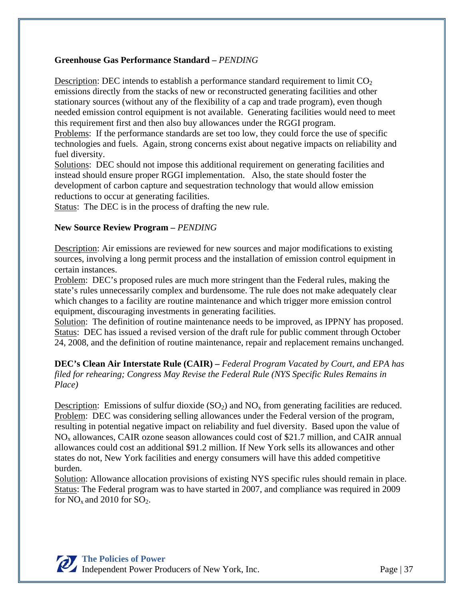#### **Greenhouse Gas Performance Standard –** *PENDING*

Description: DEC intends to establish a performance standard requirement to limit  $CO<sub>2</sub>$ emissions directly from the stacks of new or reconstructed generating facilities and other stationary sources (without any of the flexibility of a cap and trade program), even though needed emission control equipment is not available. Generating facilities would need to meet this requirement first and then also buy allowances under the RGGI program.

Problems: If the performance standards are set too low, they could force the use of specific technologies and fuels. Again, strong concerns exist about negative impacts on reliability and fuel diversity.

Solutions: DEC should not impose this additional requirement on generating facilities and instead should ensure proper RGGI implementation. Also, the state should foster the development of carbon capture and sequestration technology that would allow emission reductions to occur at generating facilities.

Status: The DEC is in the process of drafting the new rule.

#### **New Source Review Program –** *PENDING*

Description: Air emissions are reviewed for new sources and major modifications to existing sources, involving a long permit process and the installation of emission control equipment in certain instances.

Problem: DEC's proposed rules are much more stringent than the Federal rules, making the state's rules unnecessarily complex and burdensome. The rule does not make adequately clear which changes to a facility are routine maintenance and which trigger more emission control equipment, discouraging investments in generating facilities.

Solution: The definition of routine maintenance needs to be improved, as IPPNY has proposed. Status: DEC has issued a revised version of the draft rule for public comment through October 24, 2008, and the definition of routine maintenance, repair and replacement remains unchanged.

**DEC's Clean Air Interstate Rule (CAIR) –** *Federal Program Vacated by Court, and EPA has filed for rehearing; Congress May Revise the Federal Rule (NYS Specific Rules Remains in Place)*

Description: Emissions of sulfur dioxide  $(SO<sub>2</sub>)$  and  $NO<sub>x</sub>$  from generating facilities are reduced. Problem: DEC was considering selling allowances under the Federal version of the program, resulting in potential negative impact on reliability and fuel diversity. Based upon the value of NOx allowances, CAIR ozone season allowances could cost of \$21.7 million, and CAIR annual allowances could cost an additional \$91.2 million. If New York sells its allowances and other states do not, New York facilities and energy consumers will have this added competitive burden.

Solution: Allowance allocation provisions of existing NYS specific rules should remain in place. Status: The Federal program was to have started in 2007, and compliance was required in 2009 for  $NO<sub>x</sub>$  and 2010 for  $SO<sub>2</sub>$ .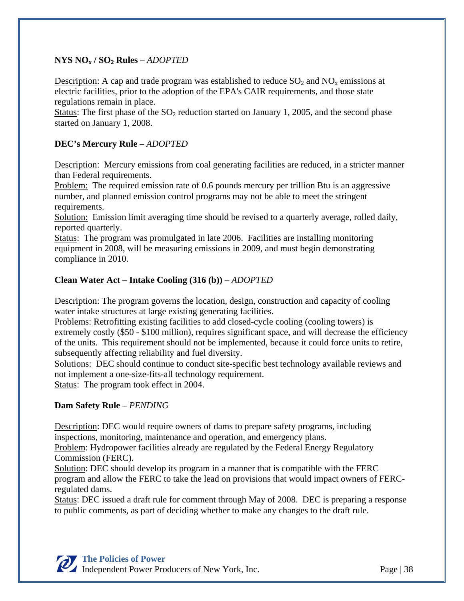#### **NYS NOx / SO2 Rules** – *ADOPTED*

Description: A cap and trade program was established to reduce  $SO_2$  and  $NO<sub>x</sub>$  emissions at electric facilities, prior to the adoption of the EPA's CAIR requirements, and those state regulations remain in place.

Status: The first phase of the  $SO_2$  reduction started on January 1, 2005, and the second phase started on January 1, 2008.

#### **DEC's Mercury Rule** – *ADOPTED*

Description: Mercury emissions from coal generating facilities are reduced, in a stricter manner than Federal requirements.

Problem: The required emission rate of 0.6 pounds mercury per trillion Btu is an aggressive number, and planned emission control programs may not be able to meet the stringent requirements.

Solution: Emission limit averaging time should be revised to a quarterly average, rolled daily, reported quarterly.

Status: The program was promulgated in late 2006. Facilities are installing monitoring equipment in 2008, will be measuring emissions in 2009, and must begin demonstrating compliance in 2010.

#### **Clean Water Act – Intake Cooling (316 (b))** – *ADOPTED*

Description: The program governs the location, design, construction and capacity of cooling water intake structures at large existing generating facilities.

Problems: Retrofitting existing facilities to add closed-cycle cooling (cooling towers) is extremely costly (\$50 - \$100 million), requires significant space, and will decrease the efficiency of the units. This requirement should not be implemented, because it could force units to retire, subsequently affecting reliability and fuel diversity.

Solutions: DEC should continue to conduct site-specific best technology available reviews and not implement a one-size-fits-all technology requirement.

Status: The program took effect in 2004.

#### **Dam Safety Rule** – *PENDING*

Description: DEC would require owners of dams to prepare safety programs, including inspections, monitoring, maintenance and operation, and emergency plans.

Problem: Hydropower facilities already are regulated by the Federal Energy Regulatory Commission (FERC).

Solution: DEC should develop its program in a manner that is compatible with the FERC program and allow the FERC to take the lead on provisions that would impact owners of FERCregulated dams.

Status: DEC issued a draft rule for comment through May of 2008. DEC is preparing a response to public comments, as part of deciding whether to make any changes to the draft rule.